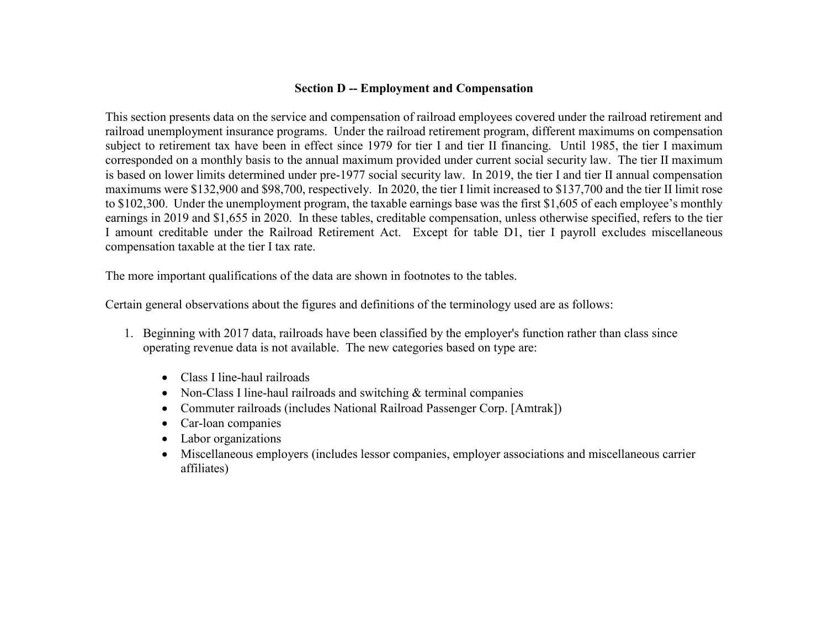### **Section D -- Employment and Compensation**

This section presents data on the service and compensation of railroad employees covered under the railroad retirement and railroad unemployment insurance programs. Under the railroad retirement program, different maximums on compensation subject to retirement tax have been in effect since 1979 for tier I and tier II financing. Until 1985, the tier I maximum corresponded on a monthly basis to the annual maximum provided under current social security law. The tier II maximum is based on lower limits determined under pre-1977 social security law. In 2019, the tier I and tier II annual compensation maximums were \$132,900 and \$98,700, respectively. In 2020, the tier I limit increased to \$137,700 and the tier II limit rose to \$102,300. Under the unemployment program, the taxable earnings base was the first \$1,605 of each employee's monthly earnings in 2019 and \$1,655 in 2020. In these tables, creditable compensation, unless otherwise specified, refers to the tier I amount creditable under the Railroad Retirement Act. Except for table D1, tier I payroll excludes miscellaneous compensation taxable at the tier I tax rate.

The more important qualifications of the data are shown in footnotes to the tables.

Certain general observations about the figures and definitions of the terminology used are as follows:

- 1. Beginning with 2017 data, railroads have been classified by the employer's function rather than class since operating revenue data is not available. The new categories based on type are:
	- Class I line-haul railroads
	- Non-Class I line-haul railroads and switching & terminal companies
	- Commuter railroads (includes National Railroad Passenger Corp. [Amtrak])
	- Car-loan companies
	- Labor organizations
	- Miscellaneous employers (includes lessor companies, employer associations and miscellaneous carrier affiliates)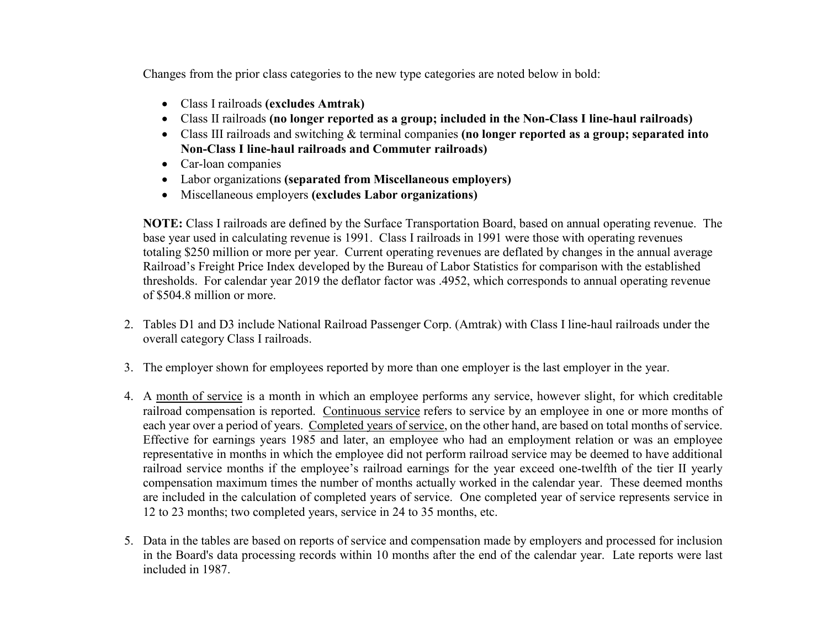Changes from the prior class categories to the new type categories are noted below in bold:

- Class I railroads **(excludes Amtrak)**
- Class II railroads **(no longer reported as a group; included in the Non-Class I line-haul railroads)**
- Class III railroads and switching & terminal companies **(no longer reported as a group; separated into Non-Class I line-haul railroads and Commuter railroads)**
- Car-loan companies
- Labor organizations **(separated from Miscellaneous employers)**
- Miscellaneous employers **(excludes Labor organizations)**

**NOTE:** Class I railroads are defined by the Surface Transportation Board, based on annual operating revenue. The base year used in calculating revenue is 1991. Class I railroads in 1991 were those with operating revenues totaling \$250 million or more per year. Current operating revenues are deflated by changes in the annual average Railroad's Freight Price Index developed by the Bureau of Labor Statistics for comparison with the established thresholds. For calendar year 2019 the deflator factor was .4952, which corresponds to annual operating revenue of \$504.8 million or more.

- 2. Tables D1 and D3 include National Railroad Passenger Corp. (Amtrak) with Class I line-haul railroads under the overall category Class I railroads.
- 3. The employer shown for employees reported by more than one employer is the last employer in the year.
- 4. A month of service is a month in which an employee performs any service, however slight, for which creditable railroad compensation is reported. Continuous service refers to service by an employee in one or more months of each year over a period of years. Completed years of service, on the other hand, are based on total months of service. Effective for earnings years 1985 and later, an employee who had an employment relation or was an employee representative in months in which the employee did not perform railroad service may be deemed to have additional railroad service months if the employee's railroad earnings for the year exceed one-twelfth of the tier II yearly compensation maximum times the number of months actually worked in the calendar year. These deemed months are included in the calculation of completed years of service. One completed year of service represents service in 12 to 23 months; two completed years, service in 24 to 35 months, etc.
- 5. Data in the tables are based on reports of service and compensation made by employers and processed for inclusion in the Board's data processing records within 10 months after the end of the calendar year. Late reports were last included in 1987.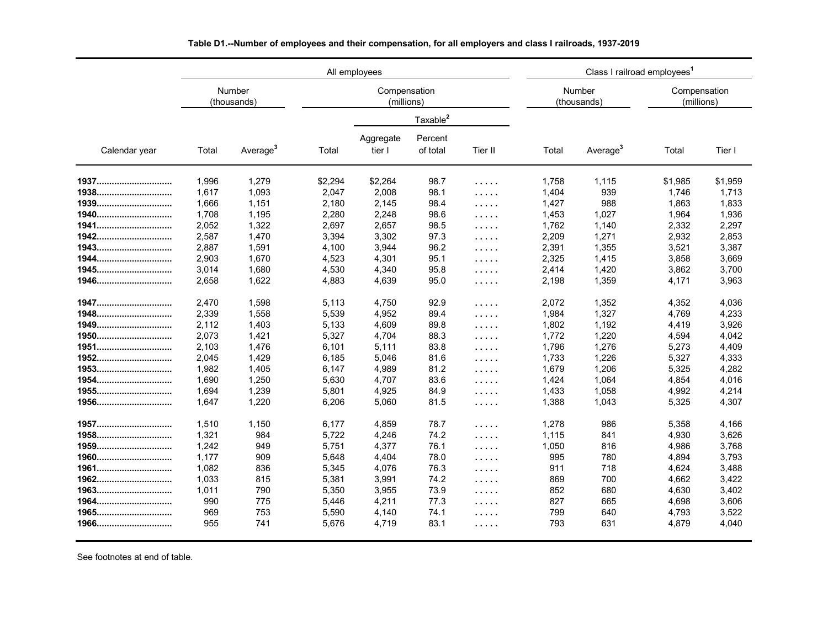|               |       |                       |         | All employees              |                      | Class I railroad employees <sup>1</sup> |       |                       |                            |         |  |
|---------------|-------|-----------------------|---------|----------------------------|----------------------|-----------------------------------------|-------|-----------------------|----------------------------|---------|--|
|               |       | Number<br>(thousands) |         | Compensation<br>(millions) |                      |                                         |       | Number<br>(thousands) | Compensation<br>(millions) |         |  |
|               |       |                       |         |                            | Taxable <sup>2</sup> |                                         |       |                       |                            |         |  |
| Calendar year | Total | Average <sup>3</sup>  | Total   | Aggregate<br>tier I        | Percent<br>of total  | Tier II                                 | Total | Average <sup>3</sup>  | Total                      | Tier I  |  |
|               | 1,996 | 1,279                 | \$2,294 | \$2,264                    | 98.7                 | .                                       | 1,758 | 1,115                 | \$1,985                    | \$1,959 |  |
| 1938          | 1,617 | 1,093                 | 2,047   | 2,008                      | 98.1                 | .                                       | 1,404 | 939                   | 1,746                      | 1,713   |  |
| 1939          | 1,666 | 1,151                 | 2,180   | 2,145                      | 98.4                 | .                                       | 1,427 | 988                   | 1,863                      | 1,833   |  |
| 1940          | 1,708 | 1,195                 | 2,280   | 2,248                      | 98.6                 | .                                       | 1,453 | 1,027                 | 1,964                      | 1,936   |  |
| 1941          | 2,052 | 1,322                 | 2,697   | 2,657                      | 98.5                 | .                                       | 1,762 | 1,140                 | 2,332                      | 2,297   |  |
| 1942          | 2,587 | 1,470                 | 3,394   | 3,302                      | 97.3                 | $\sim$ $\sim$ $\sim$ $\sim$ $\sim$      | 2,209 | 1,271                 | 2,932                      | 2,853   |  |
| 1943          | 2,887 | 1,591                 | 4.100   | 3,944                      | 96.2                 | .                                       | 2,391 | 1,355                 | 3,521                      | 3,387   |  |
| 1944          | 2,903 | 1,670                 | 4,523   | 4,301                      | 95.1                 | $\sim$ $\sim$ $\sim$ $\sim$ $\sim$      | 2,325 | 1,415                 | 3,858                      | 3,669   |  |
| 1945          | 3,014 | 1,680                 | 4,530   | 4,340                      | 95.8                 | $\cdots$                                | 2,414 | 1,420                 | 3,862                      | 3,700   |  |
| 1946          | 2,658 | 1,622                 | 4,883   | 4,639                      | 95.0                 | .                                       | 2,198 | 1,359                 | 4,171                      | 3,963   |  |
| 1947          | 2,470 | 1,598                 | 5.113   | 4,750                      | 92.9                 | .                                       | 2,072 | 1,352                 | 4,352                      | 4,036   |  |
| 1948          | 2,339 | 1,558                 | 5,539   | 4,952                      | 89.4                 | .                                       | 1,984 | 1,327                 | 4,769                      | 4,233   |  |
| 1949          | 2,112 | 1,403                 | 5.133   | 4,609                      | 89.8                 | .                                       | 1,802 | 1,192                 | 4,419                      | 3,926   |  |
| 1950          | 2,073 | 1,421                 | 5,327   | 4,704                      | 88.3                 | .                                       | 1,772 | 1,220                 | 4,594                      | 4,042   |  |
| 1951          | 2,103 | 1,476                 | 6,101   | 5,111                      | 83.8                 | .                                       | 1,796 | 1,276                 | 5,273                      | 4,409   |  |
| 1952          | 2,045 | 1,429                 | 6.185   | 5,046                      | 81.6                 | $\cdots$                                | 1,733 | 1,226                 | 5,327                      | 4,333   |  |
| 1953          | 1,982 | 1,405                 | 6,147   | 4,989                      | 81.2                 | .                                       | 1,679 | 1,206                 | 5,325                      | 4,282   |  |
| 1954          | 1,690 | 1,250                 | 5,630   | 4,707                      | 83.6                 | .                                       | 1,424 | 1,064                 | 4,854                      | 4,016   |  |
| 1955          | 1,694 | 1,239                 | 5,801   | 4,925                      | 84.9                 | .                                       | 1,433 | 1,058                 | 4,992                      | 4,214   |  |
| 1956          | 1,647 | 1,220                 | 6,206   | 5,060                      | 81.5                 | .                                       | 1,388 | 1,043                 | 5,325                      | 4,307   |  |
| 1957          | 1,510 | 1,150                 | 6,177   | 4,859                      | 78.7                 | .                                       | 1,278 | 986                   | 5,358                      | 4,166   |  |
| 1958          | 1,321 | 984                   | 5,722   | 4,246                      | 74.2                 | .                                       | 1,115 | 841                   | 4,930                      | 3,626   |  |
| 1959          | 1,242 | 949                   | 5,751   | 4,377                      | 76.1                 | .                                       | 1,050 | 816                   | 4,986                      | 3,768   |  |
| 1960          | 1,177 | 909                   | 5,648   | 4,404                      | 78.0                 | .                                       | 995   | 780                   | 4,894                      | 3,793   |  |
| 1961          | 1,082 | 836                   | 5,345   | 4,076                      | 76.3                 | .                                       | 911   | 718                   | 4,624                      | 3,488   |  |
| 1962          | 1,033 | 815                   | 5,381   | 3,991                      | 74.2                 | $\cdots$                                | 869   | 700                   | 4,662                      | 3,422   |  |
| 1963          | 1,011 | 790                   | 5,350   | 3,955                      | 73.9                 | .                                       | 852   | 680                   | 4,630                      | 3,402   |  |
| 1964          | 990   | 775                   | 5,446   | 4,211                      | 77.3                 | .                                       | 827   | 665                   | 4,698                      | 3,606   |  |
| 1965          | 969   | 753                   | 5,590   | 4,140                      | 74.1                 | .                                       | 799   | 640                   | 4,793                      | 3,522   |  |
| 1966          | 955   | 741                   | 5,676   | 4,719                      | 83.1                 | .                                       | 793   | 631                   | 4,879                      | 4,040   |  |

**Table D1.--Number of employees and their compensation, for all employers and class I railroads, 1937-2019**

See footnotes at end of table.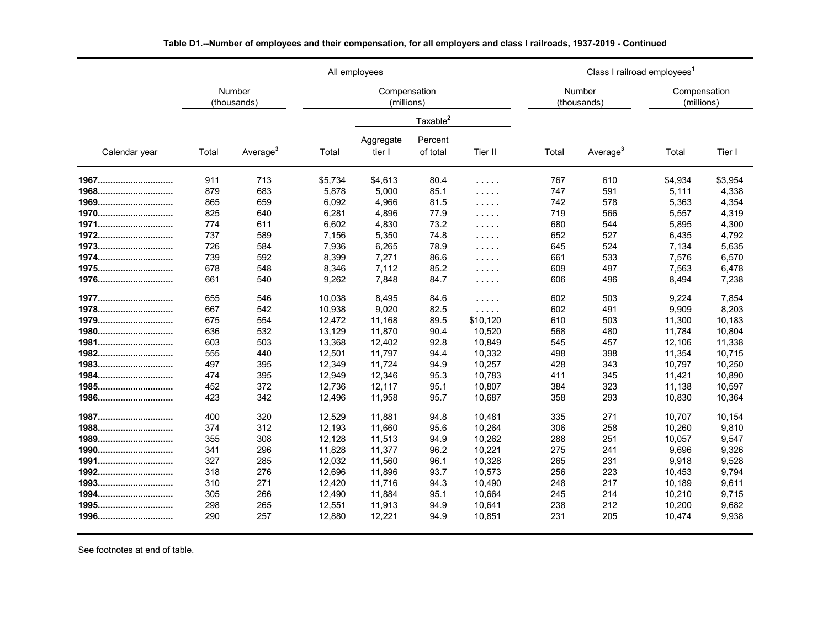|               | All employees |                       |         |                            |                      |                                    |       | Class I railroad employees <sup>1</sup> |                            |         |  |  |  |
|---------------|---------------|-----------------------|---------|----------------------------|----------------------|------------------------------------|-------|-----------------------------------------|----------------------------|---------|--|--|--|
|               |               | Number<br>(thousands) |         | Compensation<br>(millions) |                      |                                    |       | Number<br>(thousands)                   | Compensation<br>(millions) |         |  |  |  |
|               |               |                       |         |                            | Taxable <sup>2</sup> |                                    |       |                                         |                            |         |  |  |  |
| Calendar year | Total         | Average <sup>3</sup>  | Total   | Aggregate<br>tier I        | Percent<br>of total  | Tier II                            | Total | Average <sup>3</sup>                    | Total                      | Tier I  |  |  |  |
| 1967          | 911           | 713                   | \$5,734 | \$4,613                    | 80.4                 | .                                  | 767   | 610                                     | \$4,934                    | \$3,954 |  |  |  |
| 1968          | 879           | 683                   | 5,878   | 5,000                      | 85.1                 | .                                  | 747   | 591                                     | 5,111                      | 4,338   |  |  |  |
| 1969          | 865           | 659                   | 6,092   | 4,966                      | 81.5                 | .                                  | 742   | 578                                     | 5,363                      | 4,354   |  |  |  |
| 1970          | 825           | 640                   | 6,281   | 4,896                      | 77.9                 | .                                  | 719   | 566                                     | 5,557                      | 4,319   |  |  |  |
| 1971          | 774           | 611                   | 6,602   | 4,830                      | 73.2                 | 1.1.1.1                            | 680   | 544                                     | 5,895                      | 4,300   |  |  |  |
| 1972          | 737           | 589                   | 7,156   | 5,350                      | 74.8                 | $\sim$ $\sim$ $\sim$ $\sim$ $\sim$ | 652   | 527                                     | 6,435                      | 4,792   |  |  |  |
| 1973          | 726           | 584                   | 7,936   | 6,265                      | 78.9                 | $\sim$ $\sim$ $\sim$ $\sim$ $\sim$ | 645   | 524                                     | 7,134                      | 5,635   |  |  |  |
| 1974          | 739           | 592                   | 8,399   | 7,271                      | 86.6                 | .                                  | 661   | 533                                     | 7,576                      | 6,570   |  |  |  |
| 1975          | 678           | 548                   | 8,346   | 7,112                      | 85.2                 | $\sim$ $\sim$ $\sim$ $\sim$ $\sim$ | 609   | 497                                     | 7,563                      | 6,478   |  |  |  |
| 1976          | 661           | 540                   | 9,262   | 7,848                      | 84.7                 | .                                  | 606   | 496                                     | 8,494                      | 7,238   |  |  |  |
| 1977          | 655           | 546                   | 10,038  | 8,495                      | 84.6                 | .                                  | 602   | 503                                     | 9.224                      | 7,854   |  |  |  |
| 1978          | 667           | 542                   | 10,938  | 9,020                      | 82.5                 | .                                  | 602   | 491                                     | 9,909                      | 8,203   |  |  |  |
| 1979          | 675           | 554                   | 12,472  | 11,168                     | 89.5                 | \$10,120                           | 610   | 503                                     | 11,300                     | 10,183  |  |  |  |
| 1980          | 636           | 532                   | 13,129  | 11,870                     | 90.4                 | 10,520                             | 568   | 480                                     | 11,784                     | 10,804  |  |  |  |
| 1981          | 603           | 503                   | 13,368  | 12,402                     | 92.8                 | 10,849                             | 545   | 457                                     | 12,106                     | 11,338  |  |  |  |
| 1982          | 555           | 440                   | 12,501  | 11,797                     | 94.4                 | 10,332                             | 498   | 398                                     | 11,354                     | 10,715  |  |  |  |
| 1983          | 497           | 395                   | 12,349  | 11,724                     | 94.9                 | 10,257                             | 428   | 343                                     | 10,797                     | 10,250  |  |  |  |
| 1984          | 474           | 395                   | 12,949  | 12,346                     | 95.3                 | 10,783                             | 411   | 345                                     | 11,421                     | 10,890  |  |  |  |
| 1985          | 452           | 372                   | 12,736  | 12,117                     | 95.1                 | 10,807                             | 384   | 323                                     | 11,138                     | 10,597  |  |  |  |
| 1986          | 423           | 342                   | 12,496  | 11,958                     | 95.7                 | 10,687                             | 358   | 293                                     | 10,830                     | 10,364  |  |  |  |
| 1987          | 400           | 320                   | 12,529  | 11,881                     | 94.8                 | 10,481                             | 335   | 271                                     | 10.707                     | 10,154  |  |  |  |
| 1988          | 374           | 312                   | 12,193  | 11,660                     | 95.6                 | 10,264                             | 306   | 258                                     | 10,260                     | 9,810   |  |  |  |
| 1989          | 355           | 308                   | 12,128  | 11,513                     | 94.9                 | 10,262                             | 288   | 251                                     | 10,057                     | 9,547   |  |  |  |
| 1990          | 341           | 296                   | 11,828  | 11,377                     | 96.2                 | 10,221                             | 275   | 241                                     | 9,696                      | 9,326   |  |  |  |
| 1991          | 327           | 285                   | 12,032  | 11,560                     | 96.1                 | 10,328                             | 265   | 231                                     | 9,918                      | 9,528   |  |  |  |
| 1992          | 318           | 276                   | 12,696  | 11,896                     | 93.7                 | 10,573                             | 256   | 223                                     | 10,453                     | 9,794   |  |  |  |
| 1993          | 310           | 271                   | 12,420  | 11,716                     | 94.3                 | 10,490                             | 248   | 217                                     | 10,189                     | 9,611   |  |  |  |
| 1994          | 305           | 266                   | 12,490  | 11,884                     | 95.1                 | 10,664                             | 245   | 214                                     | 10,210                     | 9,715   |  |  |  |
| 1995          | 298           | 265                   | 12,551  | 11,913                     | 94.9                 | 10,641                             | 238   | 212                                     | 10,200                     | 9,682   |  |  |  |
| 1996          | 290           | 257                   | 12,880  | 12,221                     | 94.9                 | 10,851                             | 231   | 205                                     | 10,474                     | 9,938   |  |  |  |

**Table D1.--Number of employees and their compensation, for all employers and class I railroads, 1937-2019 - Continued**

See footnotes at end of table.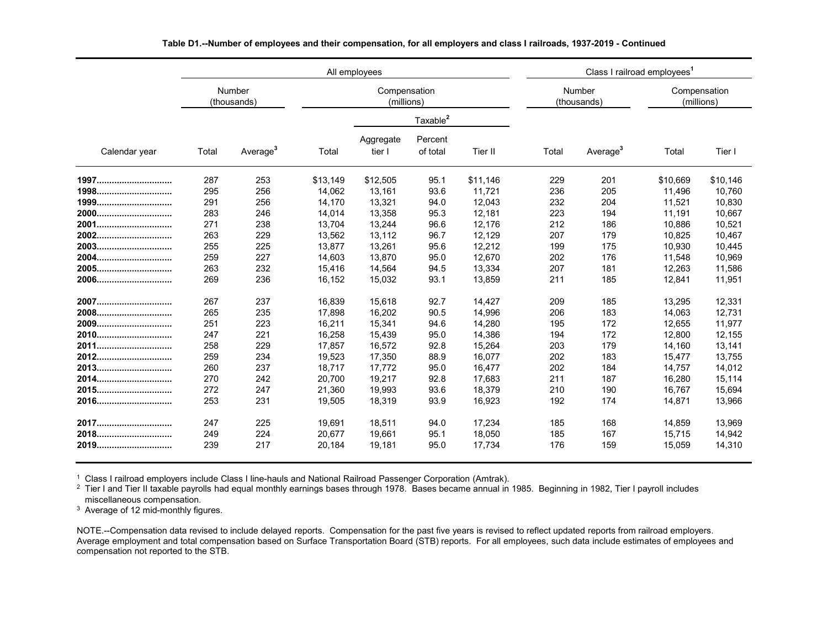|               |       |                       |          | All employees              |                      | Class I railroad employees <sup>1</sup> |       |                       |                            |          |
|---------------|-------|-----------------------|----------|----------------------------|----------------------|-----------------------------------------|-------|-----------------------|----------------------------|----------|
|               |       | Number<br>(thousands) |          | Compensation<br>(millions) |                      |                                         |       | Number<br>(thousands) | Compensation<br>(millions) |          |
|               |       |                       |          |                            | Taxable <sup>2</sup> |                                         |       |                       |                            |          |
| Calendar year | Total | Average <sup>3</sup>  | Total    | Aggregate<br>tier I        | Percent<br>of total  | Tier II                                 | Total | Average <sup>3</sup>  | Total                      | Tier I   |
| 1997          | 287   | 253                   | \$13,149 | \$12,505                   | 95.1                 | \$11,146                                | 229   | 201                   | \$10,669                   | \$10,146 |
| 1998          | 295   | 256                   | 14.062   | 13,161                     | 93.6                 | 11,721                                  | 236   | 205                   | 11,496                     | 10.760   |
| 1999          | 291   | 256                   | 14,170   | 13,321                     | 94.0                 | 12,043                                  | 232   | 204                   | 11,521                     | 10,830   |
| 2000          | 283   | 246                   | 14,014   | 13,358                     | 95.3                 | 12,181                                  | 223   | 194                   | 11,191                     | 10,667   |
| 2001          | 271   | 238                   | 13,704   | 13,244                     | 96.6                 | 12,176                                  | 212   | 186                   | 10,886                     | 10,521   |
| 2002          | 263   | 229                   | 13,562   | 13,112                     | 96.7                 | 12,129                                  | 207   | 179                   | 10,825                     | 10,467   |
| 2003          | 255   | 225                   | 13,877   | 13,261                     | 95.6                 | 12,212                                  | 199   | 175                   | 10,930                     | 10,445   |
| 2004          | 259   | 227                   | 14,603   | 13,870                     | 95.0                 | 12,670                                  | 202   | 176                   | 11,548                     | 10,969   |
| 2005          | 263   | 232                   | 15,416   | 14,564                     | 94.5                 | 13,334                                  | 207   | 181                   | 12,263                     | 11,586   |
| 2006          | 269   | 236                   | 16,152   | 15,032                     | 93.1                 | 13,859                                  | 211   | 185                   | 12,841                     | 11,951   |
| 2007          | 267   | 237                   | 16,839   | 15,618                     | 92.7                 | 14,427                                  | 209   | 185                   | 13,295                     | 12,331   |
| 2008          | 265   | 235                   | 17,898   | 16,202                     | 90.5                 | 14,996                                  | 206   | 183                   | 14,063                     | 12,731   |
| 2009          | 251   | 223                   | 16.211   | 15,341                     | 94.6                 | 14.280                                  | 195   | 172                   | 12.655                     | 11.977   |
| 2010          | 247   | 221                   | 16,258   | 15,439                     | 95.0                 | 14,386                                  | 194   | 172                   | 12,800                     | 12,155   |
| 2011          | 258   | 229                   | 17,857   | 16,572                     | 92.8                 | 15,264                                  | 203   | 179                   | 14,160                     | 13,141   |
| 2012          | 259   | 234                   | 19,523   | 17,350                     | 88.9                 | 16,077                                  | 202   | 183                   | 15,477                     | 13,755   |
| 2013          | 260   | 237                   | 18,717   | 17,772                     | 95.0                 | 16,477                                  | 202   | 184                   | 14,757                     | 14,012   |
| 2014          | 270   | 242                   | 20.700   | 19,217                     | 92.8                 | 17,683                                  | 211   | 187                   | 16,280                     | 15,114   |
| 2015          | 272   | 247                   | 21,360   | 19,993                     | 93.6                 | 18,379                                  | 210   | 190                   | 16,767                     | 15,694   |
| 2016          | 253   | 231                   | 19,505   | 18,319                     | 93.9                 | 16,923                                  | 192   | 174                   | 14,871                     | 13,966   |
| 2017          | 247   | 225                   | 19,691   | 18,511                     | 94.0                 | 17,234                                  | 185   | 168                   | 14,859                     | 13,969   |
| 2018          | 249   | 224                   | 20,677   | 19,661                     | 95.1                 | 18,050                                  | 185   | 167                   | 15,715                     | 14,942   |
| 2019          | 239   | 217                   | 20.184   | 19.181                     | 95.0                 | 17.734                                  | 176   | 159                   | 15,059                     | 14,310   |

**Table D1.--Number of employees and their compensation, for all employers and class I railroads, 1937-2019 - Continued**

<sup>1</sup> Class I railroad employers include Class I line-hauls and National Railroad Passenger Corporation (Amtrak).

 $^2$  Tier I and Tier II taxable payrolls had equal monthly earnings bases through 1978. Bases became annual in 1985. Beginning in 1982, Tier I payroll includes miscellaneous compensation.

<sup>3</sup> Average of 12 mid-monthly figures.

NOTE.--Compensation data revised to include delayed reports. Compensation for the past five years is revised to reflect updated reports from railroad employers.<br>Average employment and total compensation based on Surface Tr NOTE.--Compensation data revised to include delayed reports. Compensation for the past five years is revised to reflect updated reports from railroad employers. compensation not reported to the STB.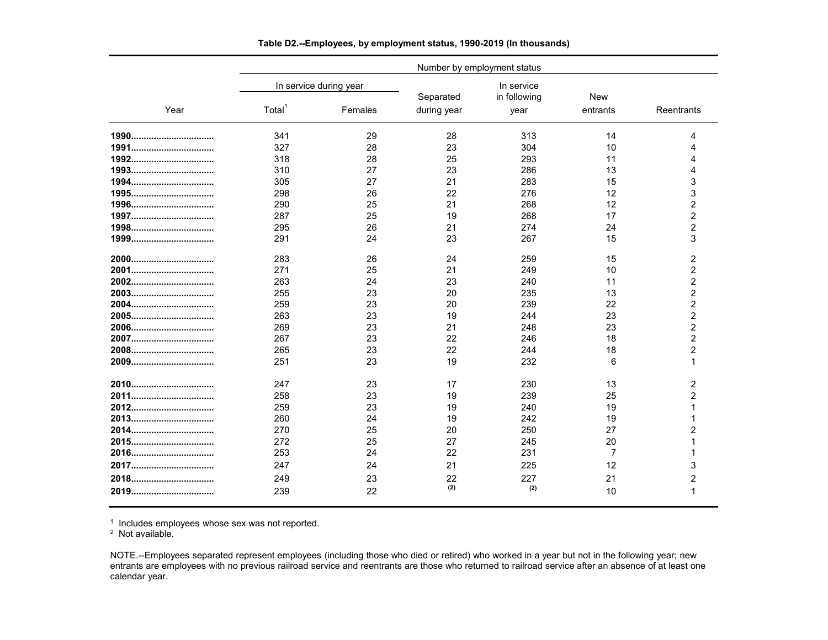|      | Number by employment status |                        |             |                            |            |                |  |  |  |  |  |
|------|-----------------------------|------------------------|-------------|----------------------------|------------|----------------|--|--|--|--|--|
|      |                             | In service during year | Separated   | In service<br>in following | <b>New</b> |                |  |  |  |  |  |
| Year | Total <sup>1</sup>          | Females                | during year | year                       | entrants   | Reentrants     |  |  |  |  |  |
|      | 341                         | 29                     | 28          | 313                        | 14         | Δ              |  |  |  |  |  |
|      | 327                         | 28                     | 23          | 304                        | 10         |                |  |  |  |  |  |
|      | 318                         | 28                     | 25          | 293                        | 11         | Δ              |  |  |  |  |  |
|      | 310                         | 27                     | 23          | 286                        | 13         | 4              |  |  |  |  |  |
|      | 305                         | 27                     | 21          | 283                        | 15         | 3              |  |  |  |  |  |
|      | 298                         | 26                     | 22          | 276                        | 12         | 3              |  |  |  |  |  |
|      | 290                         | 25                     | 21          | 268                        | 12         | $\overline{2}$ |  |  |  |  |  |
|      | 287                         | 25                     | 19          | 268                        | 17         | $\overline{2}$ |  |  |  |  |  |
|      | 295                         | 26                     | 21          | 274                        | 24         | $\overline{2}$ |  |  |  |  |  |
|      | 291                         | 24                     | 23          | 267                        | 15         | 3              |  |  |  |  |  |
|      | 283                         | 26                     | 24          | 259                        | 15         | 2              |  |  |  |  |  |
|      | 271                         | 25                     | 21          | 249                        | 10         | $\overline{2}$ |  |  |  |  |  |
|      | 263                         | 24                     | 23          | 240                        | 11         | $\overline{c}$ |  |  |  |  |  |
|      | 255                         | 23                     | 20          | 235                        | 13         | $\overline{2}$ |  |  |  |  |  |
|      | 259                         | 23                     | 20          | 239                        | 22         | $\overline{2}$ |  |  |  |  |  |
|      | 263                         | 23                     | 19          | 244                        | 23         | $\overline{2}$ |  |  |  |  |  |
|      | 269                         | 23                     | 21          | 248                        | 23         | $\overline{2}$ |  |  |  |  |  |
|      | 267                         | 23                     | 22          | 246                        | 18         | $\overline{2}$ |  |  |  |  |  |
|      | 265                         | 23                     | 22          | 244                        | 18         | 2              |  |  |  |  |  |
|      | 251                         | 23                     | 19          | 232                        | 6          | 1              |  |  |  |  |  |
|      | 247                         | 23                     | 17          | 230                        | 13         | 2              |  |  |  |  |  |
|      | 258                         | 23                     | 19          | 239                        | 25         | 2              |  |  |  |  |  |
|      | 259                         | 23                     | 19          | 240                        | 19         |                |  |  |  |  |  |
|      | 260                         | 24                     | 19          | 242                        | 19         |                |  |  |  |  |  |
|      | 270                         | 25                     | 20          | 250                        | 27         | 2              |  |  |  |  |  |
|      | 272                         | 25                     | 27          | 245                        | 20         |                |  |  |  |  |  |
| 2016 | 253                         | 24                     | 22          | 231                        | 7          |                |  |  |  |  |  |
|      | 247                         | 24                     | 21          | 225                        | 12         | 3              |  |  |  |  |  |
|      | 249<br>23                   |                        | 22          | 227                        | 21         | 2              |  |  |  |  |  |
| 2019 | 239                         | 22                     | (2)         | (2)                        | 10         |                |  |  |  |  |  |

**Table D2.--Employees, by employment status, 1990-2019 (In thousands)**

<sup>1</sup> Includes employees whose sex was not reported.

<sup>2</sup> Not available.

NOTE.--Employees separated represent employees (including those who died or retired) who worked in a year but not in the following year; new entrants are employees with no previous railroad service and reentrants are those who returned to railroad service after an absence of at least one calendar year.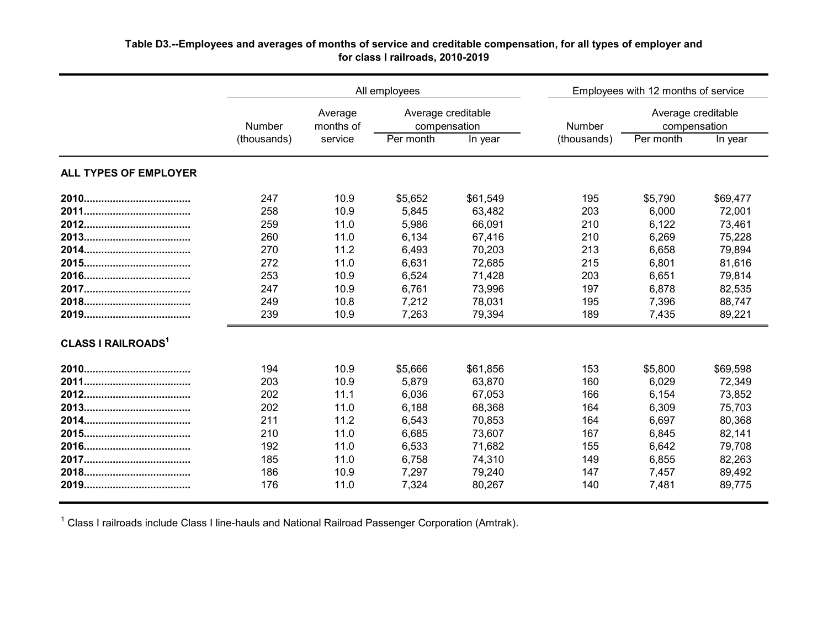| Table D3.--Employees and averages of months of service and creditable compensation, for all types of employer and |  |
|-------------------------------------------------------------------------------------------------------------------|--|
| for class I railroads, 2010-2019                                                                                  |  |
|                                                                                                                   |  |

|                           |             |                      | All employees                      |          | Employees with 12 months of service |                                    |          |  |  |  |
|---------------------------|-------------|----------------------|------------------------------------|----------|-------------------------------------|------------------------------------|----------|--|--|--|
|                           | Number      | Average<br>months of | Average creditable<br>compensation |          | Number                              | Average creditable<br>compensation |          |  |  |  |
|                           | (thousands) | service              | Per month                          | In year  | (thousands)                         | Per month                          | In year  |  |  |  |
| ALL TYPES OF EMPLOYER     |             |                      |                                    |          |                                     |                                    |          |  |  |  |
|                           | 247         | 10.9                 | \$5,652                            | \$61,549 | 195                                 | \$5,790                            | \$69,477 |  |  |  |
|                           | 258         | 10.9                 | 5,845                              | 63,482   | 203                                 | 6,000                              | 72,001   |  |  |  |
|                           | 259         | 11.0                 | 5,986                              | 66,091   | 210                                 | 6,122                              | 73,461   |  |  |  |
|                           | 260         | 11.0                 | 6,134                              | 67,416   | 210                                 | 6,269                              | 75,228   |  |  |  |
|                           | 270         | 11.2                 | 6,493                              | 70,203   | 213                                 | 6,658                              | 79,894   |  |  |  |
|                           | 272         | 11.0                 | 6,631                              | 72,685   | 215                                 | 6,801                              | 81,616   |  |  |  |
|                           | 253         | 10.9                 | 6,524                              | 71,428   | 203                                 | 6,651                              | 79,814   |  |  |  |
|                           | 247         | 10.9                 | 6,761                              | 73,996   | 197                                 | 6,878                              | 82,535   |  |  |  |
|                           | 249         | 10.8                 | 7,212                              | 78,031   | 195                                 | 7,396                              | 88,747   |  |  |  |
|                           | 239         | 10.9                 | 7,263                              | 79,394   | 189                                 | 7,435                              | 89,221   |  |  |  |
| <b>CLASS I RAILROADS1</b> |             |                      |                                    |          |                                     |                                    |          |  |  |  |
|                           | 194         | 10.9                 | \$5,666                            | \$61,856 | 153                                 | \$5,800                            | \$69,598 |  |  |  |
|                           | 203         | 10.9                 | 5,879                              | 63,870   | 160                                 | 6,029                              | 72,349   |  |  |  |
|                           | 202         | 11.1                 | 6,036                              | 67,053   | 166                                 | 6,154                              | 73,852   |  |  |  |
|                           | 202         | 11.0                 | 6,188                              | 68,368   | 164                                 | 6,309                              | 75,703   |  |  |  |
|                           | 211         | 11.2                 | 6,543                              | 70,853   | 164                                 | 6,697                              | 80,368   |  |  |  |
|                           | 210         | 11.0                 | 6,685                              | 73,607   | 167                                 | 6,845                              | 82,141   |  |  |  |
|                           | 192         | 11.0                 | 6,533                              | 71,682   | 155                                 | 6,642                              | 79,708   |  |  |  |
|                           | 185         | 11.0                 | 6,758                              | 74,310   | 149                                 | 6,855                              | 82,263   |  |  |  |
|                           | 186         | 10.9                 | 7,297                              | 79,240   | 147                                 | 7,457                              | 89,492   |  |  |  |
|                           | 176         | 11.0                 | 7,324                              | 80,267   | 140                                 | 7,481                              | 89,775   |  |  |  |
|                           |             |                      |                                    |          |                                     |                                    |          |  |  |  |

 $^{\text{1}}$  Class I railroads include Class I line-hauls and National Railroad Passenger Corporation (Amtrak).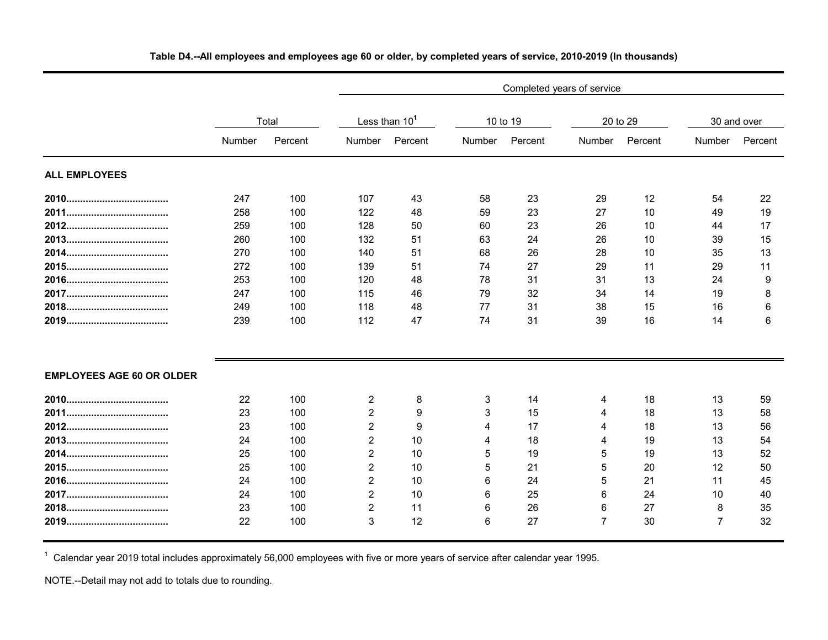|                                  |        | Completed years of service |                |                           |        |          |                |          |                |             |  |  |  |
|----------------------------------|--------|----------------------------|----------------|---------------------------|--------|----------|----------------|----------|----------------|-------------|--|--|--|
|                                  |        | Total                      |                | Less than 10 <sup>1</sup> |        | 10 to 19 |                | 20 to 29 |                | 30 and over |  |  |  |
|                                  | Number | Percent                    | Number         | Percent                   | Number | Percent  | Number         | Percent  | Number         | Percent     |  |  |  |
| <b>ALL EMPLOYEES</b>             |        |                            |                |                           |        |          |                |          |                |             |  |  |  |
|                                  | 247    | 100                        | 107            | 43                        | 58     | 23       | 29             | 12       | 54             | 22          |  |  |  |
|                                  | 258    | 100                        | 122            | 48                        | 59     | 23       | 27             | 10       | 49             | 19          |  |  |  |
|                                  | 259    | 100                        | 128            | 50                        | 60     | 23       | 26             | 10       | 44             | 17          |  |  |  |
|                                  | 260    | 100                        | 132            | 51                        | 63     | 24       | 26             | 10       | 39             | 15          |  |  |  |
|                                  | 270    | 100                        | 140            | 51                        | 68     | 26       | 28             | 10       | 35             | 13          |  |  |  |
|                                  | 272    | 100                        | 139            | 51                        | 74     | 27       | 29             | 11       | 29             | 11          |  |  |  |
|                                  | 253    | 100                        | 120            | 48                        | 78     | 31       | 31             | 13       | 24             | 9           |  |  |  |
|                                  | 247    | 100                        | 115            | 46                        | 79     | 32       | 34             | 14       | 19             | 8           |  |  |  |
|                                  | 249    | 100                        | 118            | 48                        | 77     | 31       | 38             | 15       | 16             | 6           |  |  |  |
|                                  | 239    | 100                        | 112            | 47                        | 74     | 31       | 39             | 16       | 14             | 6           |  |  |  |
| <b>EMPLOYEES AGE 60 OR OLDER</b> |        |                            |                |                           |        |          |                |          |                |             |  |  |  |
|                                  | 22     | 100                        | 2              | 8                         | 3      | 14       | 4              | 18       | 13             | 59          |  |  |  |
|                                  | 23     | 100                        | $\overline{2}$ | 9                         | 3      | 15       | 4              | 18       | 13             | 58          |  |  |  |
|                                  | 23     | 100                        | $\overline{2}$ | 9                         | 4      | 17       | Δ              | 18       | 13             | 56          |  |  |  |
|                                  | 24     | 100                        | $\overline{2}$ | 10                        | 4      | 18       |                | 19       | 13             | 54          |  |  |  |
|                                  | 25     | 100                        | $\overline{2}$ | 10                        | 5      | 19       | 5              | 19       | 13             | 52          |  |  |  |
|                                  | 25     | 100                        | $\overline{2}$ | 10                        | 5      | 21       | 5              | 20       | 12             | 50          |  |  |  |
|                                  | 24     | 100                        | 2              | 10                        | 6      | 24       | 5              | 21       | 11             | 45          |  |  |  |
|                                  | 24     | 100                        | $\overline{2}$ | 10                        | 6      | 25       | 6              | 24       | 10             | 40          |  |  |  |
|                                  | 23     | 100                        | $\overline{2}$ | 11                        | 6      | 26       | 6              | 27       | 8              | 35          |  |  |  |
|                                  | 22     | 100                        | 3              | 12                        | 6      | 27       | $\overline{7}$ | 30       | $\overline{7}$ | 32          |  |  |  |

## **Table D4.--All employees and employees age 60 or older, by completed years of service, 2010-2019 (In thousands)**

 $^\text{1}$  Calendar year 2019 total includes approximately 56,000 employees with five or more years of service after calendar year 1995.

NOTE.--Detail may not add to totals due to rounding.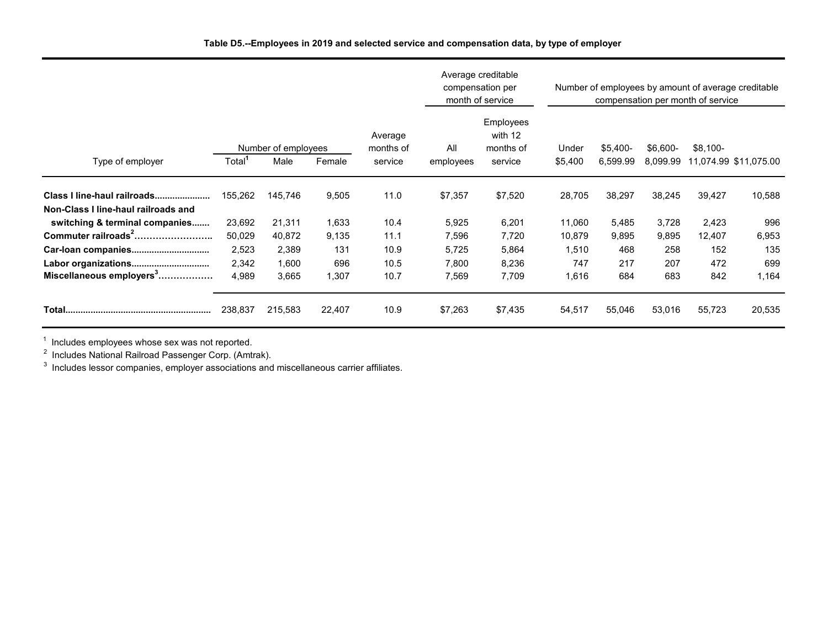|                                      |                    |                             |                                           |                  | Number of employees by amount of average creditable<br>compensation per month of service |                  |                       |                      |                                    |        |        |
|--------------------------------------|--------------------|-----------------------------|-------------------------------------------|------------------|------------------------------------------------------------------------------------------|------------------|-----------------------|----------------------|------------------------------------|--------|--------|
| Type of employer                     | Total <sup>1</sup> | Number of employees<br>Male | Average<br>months of<br>Female<br>service | All<br>employees | Employees<br>with 12<br>months of<br>service                                             | Under<br>\$5,400 | $$5,400-$<br>6,599.99 | \$6,600-<br>8,099.99 | $$8,100-$<br>11,074.99 \$11,075.00 |        |        |
|                                      |                    |                             |                                           |                  |                                                                                          |                  |                       |                      |                                    |        |        |
| Class I line-haul railroads          | 155,262            | 145,746                     | 9,505                                     | 11.0             | \$7,357                                                                                  | \$7,520          | 28,705                | 38,297               | 38,245                             | 39,427 | 10,588 |
| Non-Class I line-haul railroads and  |                    |                             |                                           |                  |                                                                                          |                  |                       |                      |                                    |        |        |
| switching & terminal companies       | 23,692             | 21,311                      | 1,633                                     | 10.4             | 5,925                                                                                    | 6,201            | 11,060                | 5,485                | 3,728                              | 2,423  | 996    |
| Commuter railroads <sup>2</sup>      | 50,029             | 40,872                      | 9,135                                     | 11.1             | 7,596                                                                                    | 7,720            | 10,879                | 9,895                | 9,895                              | 12,407 | 6,953  |
|                                      | 2,523              | 2,389                       | 131                                       | 10.9             | 5,725                                                                                    | 5,864            | 1,510                 | 468                  | 258                                | 152    | 135    |
|                                      | 2,342              | 1,600                       | 696                                       | 10.5             | 7,800                                                                                    | 8,236            | 747                   | 217                  | 207                                | 472    | 699    |
| Miscellaneous employers <sup>3</sup> | 4,989              | 3,665                       | 1,307                                     | 10.7             | 7,569                                                                                    | 7,709            | 1,616                 | 684                  | 683                                | 842    | 1,164  |
|                                      | 238,837            | 215,583                     | 22,407                                    | 10.9             | \$7,263                                                                                  | \$7,435          | 54,517                | 55,046               | 53,016                             | 55,723 | 20,535 |

 $^1$  Includes employees whose sex was not reported.<br><sup>2</sup> Includes National Railroad Passenger Corp. (Amtrak).<br><sup>3</sup> Includes lessor companies, employer associations and miscellaneous carrier affiliates.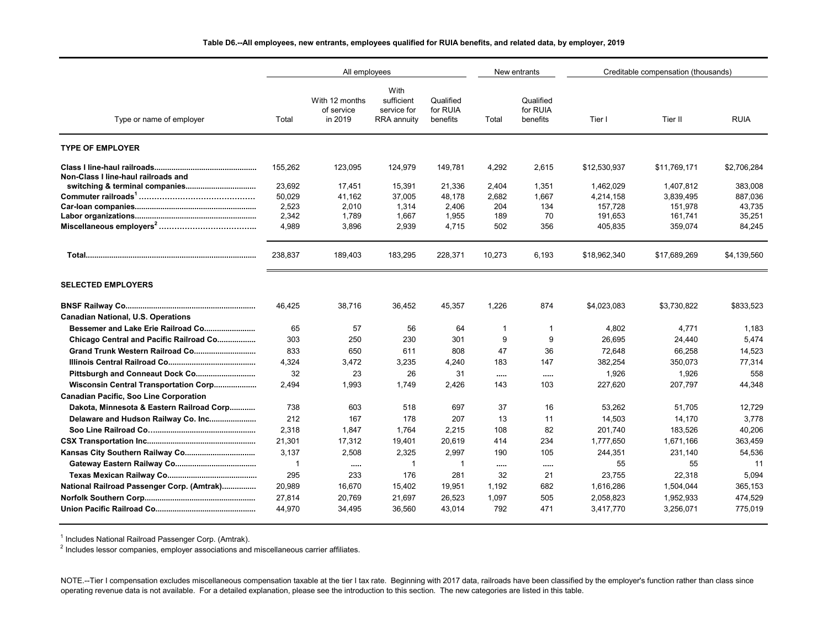#### **Table D6.--All employees, new entrants, employees qualified for RUIA benefits, and related data, by employer, 2019**

|                                               |              | All employees                           |                                                         |                                   |          | New entrants                      | Creditable compensation (thousands) |              |             |  |
|-----------------------------------------------|--------------|-----------------------------------------|---------------------------------------------------------|-----------------------------------|----------|-----------------------------------|-------------------------------------|--------------|-------------|--|
| Type or name of employer                      | Total        | With 12 months<br>of service<br>in 2019 | With<br>sufficient<br>service for<br><b>RRA</b> annuity | Qualified<br>for RUIA<br>benefits | Total    | Qualified<br>for RUIA<br>benefits | Tier I                              | Tier II      | <b>RUIA</b> |  |
| <b>TYPE OF EMPLOYER</b>                       |              |                                         |                                                         |                                   |          |                                   |                                     |              |             |  |
| Non-Class I line-haul railroads and           | 155,262      | 123,095                                 | 124,979                                                 | 149,781                           | 4,292    | 2,615                             | \$12,530,937                        | \$11,769,171 | \$2,706,284 |  |
|                                               | 23,692       | 17,451                                  | 15,391                                                  | 21,336                            | 2,404    | 1,351                             | 1,462,029                           | 1,407,812    | 383,008     |  |
|                                               | 50,029       | 41.162                                  | 37,005                                                  | 48.178                            | 2,682    | 1.667                             | 4,214,158                           | 3,839,495    | 887.036     |  |
|                                               | 2,523        | 2,010                                   | 1,314                                                   | 2,406                             | 204      | 134                               | 157,728                             | 151,978      | 43,735      |  |
|                                               | 2,342        | 1,789                                   | 1,667                                                   | 1,955                             | 189      | 70                                | 191,653                             | 161,741      | 35,251      |  |
|                                               | 4,989        | 3,896                                   | 2,939                                                   | 4,715                             | 502      | 356                               | 405,835                             | 359,074      | 84,245      |  |
|                                               | 238,837      | 189,403                                 | 183,295                                                 | 228,371                           | 10,273   | 6,193                             | \$18,962,340                        | \$17,689,269 | \$4,139,560 |  |
| <b>SELECTED EMPLOYERS</b>                     |              |                                         |                                                         |                                   |          |                                   |                                     |              |             |  |
|                                               | 46,425       | 38,716                                  | 36,452                                                  | 45,357                            | 1,226    | 874                               | \$4,023,083                         | \$3,730,822  | \$833,523   |  |
| <b>Canadian National, U.S. Operations</b>     |              |                                         |                                                         |                                   |          |                                   |                                     |              |             |  |
|                                               | 65           | 57                                      | 56                                                      | 64                                | -1       | $\overline{\mathbf{1}}$           | 4,802                               | 4,771        | 1,183       |  |
| Chicago Central and Pacific Railroad Co       | 303          | 250                                     | 230                                                     | 301                               | 9        | 9                                 | 26.695                              | 24,440       | 5,474       |  |
|                                               | 833          | 650                                     | 611                                                     | 808                               | 47       | 36                                | 72,648                              | 66,258       | 14,523      |  |
|                                               | 4,324        | 3,472                                   | 3,235                                                   | 4,240                             | 183      | 147                               | 382,254                             | 350,073      | 77,314      |  |
|                                               | 32           | 23                                      | 26                                                      | 31                                |          | $\cdots$                          | 1,926                               | 1,926        | 558         |  |
| Wisconsin Central Transportation Corp         | 2,494        | 1,993                                   | 1,749                                                   | 2,426                             | 143      | 103                               | 227,620                             | 207,797      | 44,348      |  |
| <b>Canadian Pacific, Soo Line Corporation</b> |              |                                         |                                                         |                                   |          |                                   |                                     |              |             |  |
| Dakota, Minnesota & Eastern Railroad Corp     | 738          | 603                                     | 518                                                     | 697                               | 37       | 16                                | 53,262                              | 51,705       | 12,729      |  |
|                                               | 212          | 167                                     | 178                                                     | 207                               | 13       | 11                                | 14,503                              | 14,170       | 3,778       |  |
|                                               | 2,318        | 1,847                                   | 1,764                                                   | 2,215                             | 108      | 82                                | 201,740                             | 183,526      | 40,206      |  |
|                                               | 21,301       | 17,312                                  | 19,401                                                  | 20,619                            | 414      | 234                               | 1,777,650                           | 1,671,166    | 363,459     |  |
| Kansas City Southern Railway Co               | 3,137        | 2,508                                   | 2,325                                                   | 2,997                             | 190      | 105                               | 244,351                             | 231,140      | 54,536      |  |
|                                               | $\mathbf{1}$ | $\cdots$                                | $\overline{1}$                                          | $\overline{1}$                    | $\cdots$ | $\cdots$                          | 55                                  | 55           | 11          |  |
|                                               | 295          | 233                                     | 176                                                     | 281                               | 32       | 21                                | 23,755                              | 22,318       | 5,094       |  |
| National Railroad Passenger Corp. (Amtrak)    | 20,989       | 16.670                                  | 15,402                                                  | 19,951                            | 1,192    | 682                               | 1,616,286                           | 1,504,044    | 365.153     |  |
|                                               | 27,814       | 20,769                                  | 21,697                                                  | 26,523                            | 1,097    | 505                               | 2,058,823                           | 1,952,933    | 474,529     |  |
|                                               | 44,970       | 34,495                                  | 36,560                                                  | 43,014                            | 792      | 471                               | 3,417,770                           | 3,256,071    | 775,019     |  |

 $^{\text{1}}$  Includes National Railroad Passenger Corp. (Amtrak).

 $^{\rm 2}$  Includes lessor companies, employer associations and miscellaneous carrier affiliates.

NOTE.--Tier I compensation excludes miscellaneous compensation taxable at the tier I tax rate. Beginning with 2017 data, railroads have been classified by the employer's function rather than class since operating revenue data is not available. For a detailed explanation, please see the introduction to this section. The new categories are listed in this table.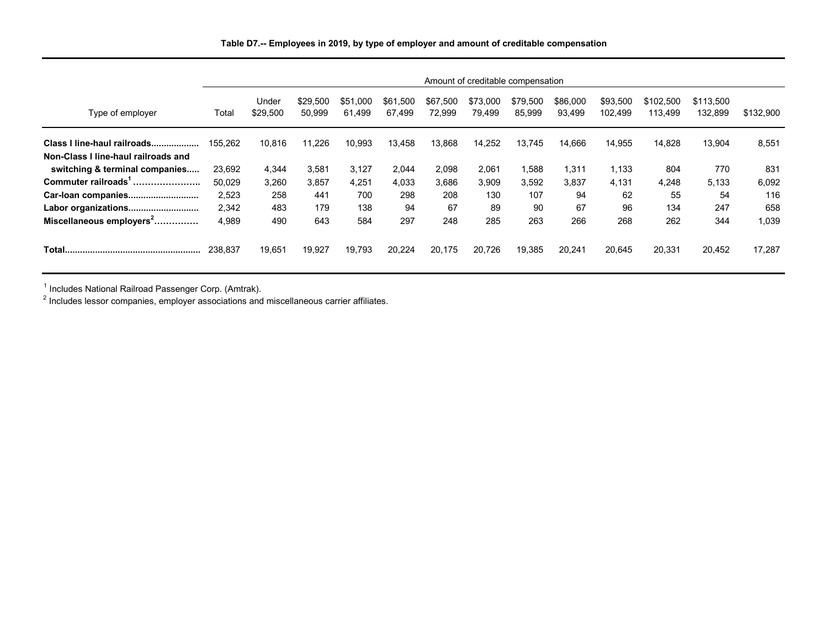|                                      | Amount of creditable compensation |                   |                    |                    |                    |                    |                    |                    |                    |                     |                      |                      |           |
|--------------------------------------|-----------------------------------|-------------------|--------------------|--------------------|--------------------|--------------------|--------------------|--------------------|--------------------|---------------------|----------------------|----------------------|-----------|
| Type of employer                     | Total                             | Under<br>\$29,500 | \$29,500<br>50.999 | \$51,000<br>61.499 | \$61.500<br>67.499 | \$67.500<br>72.999 | \$73,000<br>79.499 | \$79,500<br>85.999 | \$86,000<br>93.499 | \$93,500<br>102.499 | \$102,500<br>113.499 | \$113,500<br>132.899 | \$132,900 |
| Class I line-haul railroads          | 155.262                           | 10,816            | 11,226             | 10,993             | 13,458             | 13,868             | 14,252             | 13,745             | 14,666             | 14,955              | 14,828               | 13,904               | 8,551     |
| Non-Class I line-haul railroads and  |                                   |                   |                    |                    |                    |                    |                    |                    |                    |                     |                      |                      |           |
| switching & terminal companies       | 23,692                            | 4,344             | 3,581              | 3,127              | 2,044              | 2,098              | 2,061              | 1,588              | 1,311              | 1,133               | 804                  | 770                  | 831       |
| Commuter railroads <sup>1</sup>      | 50,029                            | 3,260             | 3,857              | 4,251              | 4,033              | 3,686              | 3,909              | 3,592              | 3,837              | 4,131               | 4,248                | 5,133                | 6,092     |
| Car-loan companies                   | 2.523                             | 258               | 441                | 700                | 298                | 208                | 130                | 107                | 94                 | 62                  | 55                   | 54                   | 116       |
|                                      | 2.342                             | 483               | 179                | 138                | 94                 | 67                 | 89                 | 90                 | 67                 | 96                  | 134                  | 247                  | 658       |
| Miscellaneous employers <sup>2</sup> | 4,989                             | 490               | 643                | 584                | 297                | 248                | 285                | 263                | 266                | 268                 | 262                  | 344                  | 1.039     |
|                                      | 238.837                           | 19,651            | 19,927             | 19,793             | 20,224             | 20,175             | 20,726             | 19,385             | 20,241             | 20,645              | 20,331               | 20,452               | 17,287    |

<sup>1</sup> Includes National Railroad Passenger Corp. (Amtrak).<br><sup>2</sup> Includes lessor companies, employer associations and miscellaneous carrier affiliates.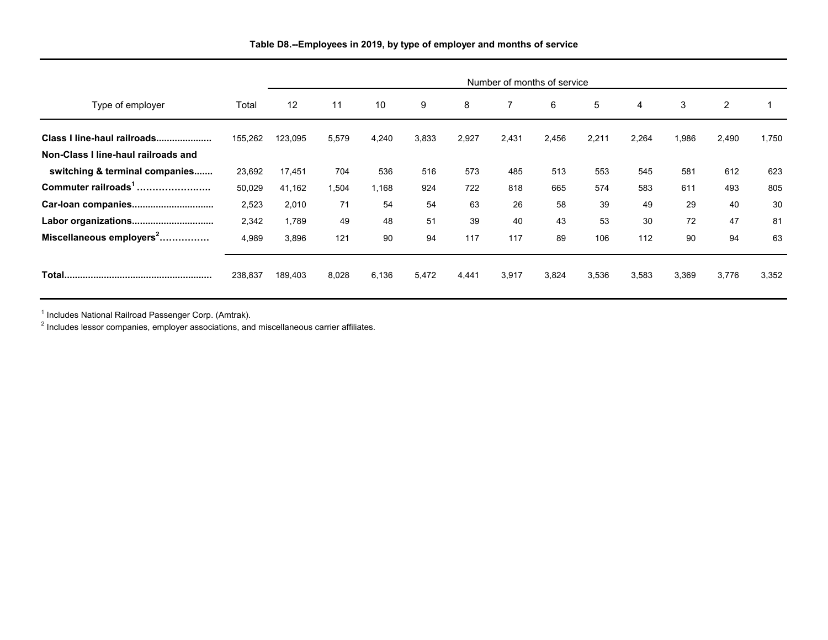|                                      |         | Number of months of service |       |       |       |       |       |       |       |       |       |                |       |
|--------------------------------------|---------|-----------------------------|-------|-------|-------|-------|-------|-------|-------|-------|-------|----------------|-------|
| Type of employer                     | Total   | 12                          | 11    | 10    | 9     | 8     |       | 6     | 5     | 4     | 3     | $\overline{2}$ |       |
| Class I line-haul railroads          | 155,262 | 123,095                     | 5,579 | 4,240 | 3,833 | 2,927 | 2,431 | 2,456 | 2,211 | 2,264 | 1,986 | 2,490          | 1,750 |
| Non-Class I line-haul railroads and  |         |                             |       |       |       |       |       |       |       |       |       |                |       |
| switching & terminal companies       | 23,692  | 17,451                      | 704   | 536   | 516   | 573   | 485   | 513   | 553   | 545   | 581   | 612            | 623   |
| Commuter railroads <sup>1</sup>      | 50,029  | 41,162                      | 1,504 | 1,168 | 924   | 722   | 818   | 665   | 574   | 583   | 611   | 493            | 805   |
| Car-loan companies                   | 2,523   | 2,010                       | 71    | 54    | 54    | 63    | 26    | 58    | 39    | 49    | 29    | 40             | 30    |
| Labor organizations                  | 2,342   | 1,789                       | 49    | 48    | 51    | 39    | 40    | 43    | 53    | 30    | 72    | 47             | 81    |
| Miscellaneous employers <sup>2</sup> | 4,989   | 3,896                       | 121   | 90    | 94    | 117   | 117   | 89    | 106   | 112   | 90    | 94             | 63    |
|                                      | 238,837 | 189,403                     | 8,028 | 6,136 | 5,472 | 4,441 | 3,917 | 3,824 | 3,536 | 3,583 | 3,369 | 3,776          | 3,352 |

**Table D8.--Employees in 2019, by type of employer and months of service**

<sup>1</sup> Includes National Railroad Passenger Corp. (Amtrak).<br><sup>2</sup> Includes lessor companies, employer associations, and miscellaneous carrier affiliates.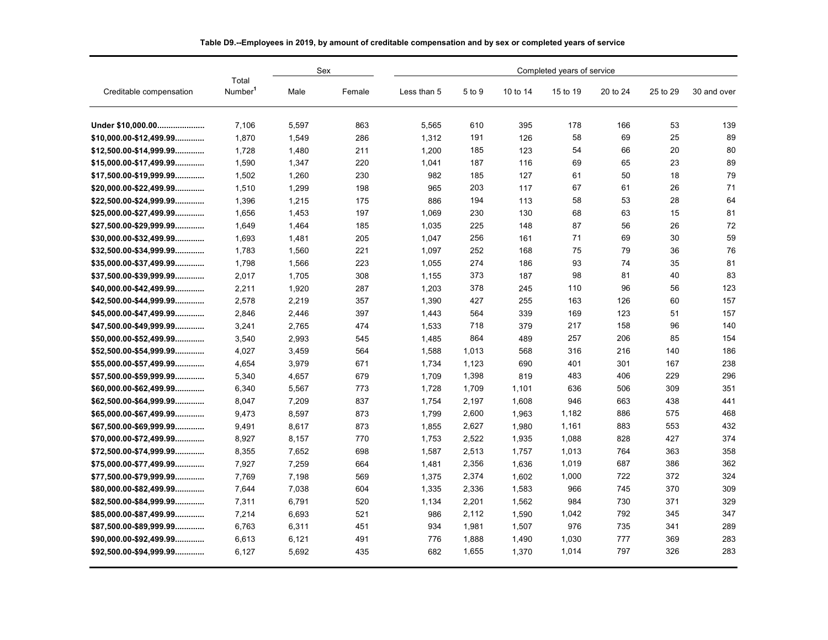|                                 | Completed years of service   |       |        |             |        |          |          |          |          |             |
|---------------------------------|------------------------------|-------|--------|-------------|--------|----------|----------|----------|----------|-------------|
| Creditable compensation         | Total<br>Number <sup>1</sup> | Male  | Female | Less than 5 | 5 to 9 | 10 to 14 | 15 to 19 | 20 to 24 | 25 to 29 | 30 and over |
| Under \$10,000.00               | 7.106                        | 5,597 | 863    | 5,565       | 610    | 395      | 178      | 166      | 53       | 139         |
| $$10.000.00 - $12.499.99$       | 1.870                        | 1.549 | 286    | 1.312       | 191    | 126      | 58       | 69       | 25       | 89          |
| $$12,500.00 - $14,999.99$       | 1.728                        | 1,480 | 211    | 1,200       | 185    | 123      | 54       | 66       | 20       | 80          |
| $$15,000.00 - $17,499.99$       | 1,590                        | 1.347 | 220    | 1,041       | 187    | 116      | 69       | 65       | 23       | 89          |
| \$17,500.00-\$19,999.99         | 1,502                        | 1,260 | 230    | 982         | 185    | 127      | 61       | 50       | 18       | 79          |
| $$20,000.00 - $22,499.99$       | 1,510                        | 1,299 | 198    | 965         | 203    | 117      | 67       | 61       | 26       | 71          |
| $$22,500.00 - $24,999.99$       | 1.396                        | 1.215 | 175    | 886         | 194    | 113      | 58       | 53       | 28       | 64          |
| $$25,000.00 - $27,499.99$       | 1,656                        | 1,453 | 197    | 1,069       | 230    | 130      | 68       | 63       | 15       | 81          |
| $$27,500.00 - $29,999.99$       | 1,649                        | 1,464 | 185    | 1,035       | 225    | 148      | 87       | 56       | 26       | 72          |
| $$30,000.00-$32,499.99$         | 1.693                        | 1,481 | 205    | 1,047       | 256    | 161      | 71       | 69       | 30       | 59          |
| $$32,500.00 - $34,999.99$       | 1,783                        | 1,560 | 221    | 1,097       | 252    | 168      | 75       | 79       | 36       | 76          |
| $$35,000.00 - $37,499.99$       | 1.798                        | 1,566 | 223    | 1.055       | 274    | 186      | 93       | 74       | 35       | 81          |
| $$37,500.00 - $39,999.99$       | 2.017                        | 1.705 | 308    | 1,155       | 373    | 187      | 98       | 81       | 40       | 83          |
| $$40,000.00 - $42,499.99$       | 2,211                        | 1,920 | 287    | 1,203       | 378    | 245      | 110      | 96       | 56       | 123         |
| \$42,500.00-\$44,999.99         | 2,578                        | 2,219 | 357    | 1,390       | 427    | 255      | 163      | 126      | 60       | 157         |
| $$45,000.00 - $47,499.99$       | 2.846                        | 2,446 | 397    | 1,443       | 564    | 339      | 169      | 123      | 51       | 157         |
| \$47,500.00-\$49,999.99         | 3,241                        | 2,765 | 474    | 1,533       | 718    | 379      | 217      | 158      | 96       | 140         |
| $$50,000.00 - $52,499.99$       | 3,540                        | 2,993 | 545    | 1,485       | 864    | 489      | 257      | 206      | 85       | 154         |
| $$52.500.00 - $54.999.99$       | 4.027                        | 3.459 | 564    | 1.588       | 1,013  | 568      | 316      | 216      | 140      | 186         |
| $$55,000.00 - $57,499.99$       | 4,654                        | 3,979 | 671    | 1,734       | 1,123  | 690      | 401      | 301      | 167      | 238         |
| $$57,500.00 - $59,999.99$       | 5,340                        | 4,657 | 679    | 1,709       | 1,398  | 819      | 483      | 406      | 229      | 296         |
| $$60,000.00 - $62,499.99$       | 6.340                        | 5.567 | 773    | 1.728       | 1,709  | 1.101    | 636      | 506      | 309      | 351         |
| $$62,500.00 - $64,999.99$       | 8,047                        | 7,209 | 837    | 1,754       | 2,197  | 1,608    | 946      | 663      | 438      | 441         |
| $$65,000.00-$67,499.99$         | 9.473                        | 8.597 | 873    | 1.799       | 2,600  | 1,963    | 1,182    | 886      | 575      | 468         |
| \$67,500.00-\$69,999.99         | 9.491                        | 8.617 | 873    | 1.855       | 2,627  | 1.980    | 1,161    | 883      | 553      | 432         |
| $$70,000.00-$72,499.99$         | 8,927                        | 8,157 | 770    | 1,753       | 2,522  | 1,935    | 1,088    | 828      | 427      | 374         |
| $$72,500.00 - $74,999.99$       | 8.355                        | 7.652 | 698    | 1,587       | 2,513  | 1.757    | 1,013    | 764      | 363      | 358         |
| \$75,000.00-\$77,499.99         | 7,927                        | 7,259 | 664    | 1,481       | 2,356  | 1,636    | 1.019    | 687      | 386      | 362         |
| $$77,500.00 - $79,999.99$       | 7.769                        | 7,198 | 569    | 1,375       | 2,374  | 1,602    | 1,000    | 722      | 372      | 324         |
| $$80,000.00 - $82,499.99$       | 7.644                        | 7,038 | 604    | 1,335       | 2,336  | 1,583    | 966      | 745      | 370      | 309         |
| \$82,500.00-\$84,999.99         | 7,311                        | 6,791 | 520    | 1,134       | 2,201  | 1,562    | 984      | 730      | 371      | 329         |
| $$85,000.00 - $87,499.99$       | 7.214                        | 6,693 | 521    | 986         | 2,112  | 1,590    | 1,042    | 792      | 345      | 347         |
| $$87,500.00 - $89,999.99 \dots$ | 6.763                        | 6,311 | 451    | 934         | 1,981  | 1,507    | 976      | 735      | 341      | 289         |
| $$90,000.00 - $92,499.99$       | 6,613                        | 6,121 | 491    | 776         | 1,888  | 1,490    | 1,030    | 777      | 369      | 283         |
| $$92,500.00 - $94,999.99 \dots$ | 6,127                        | 5,692 | 435    | 682         | 1,655  | 1,370    | 1,014    | 797      | 326      | 283         |

| Table D9.--Employees in 2019, by amount of creditable compensation and by sex or completed years of service |
|-------------------------------------------------------------------------------------------------------------|
|                                                                                                             |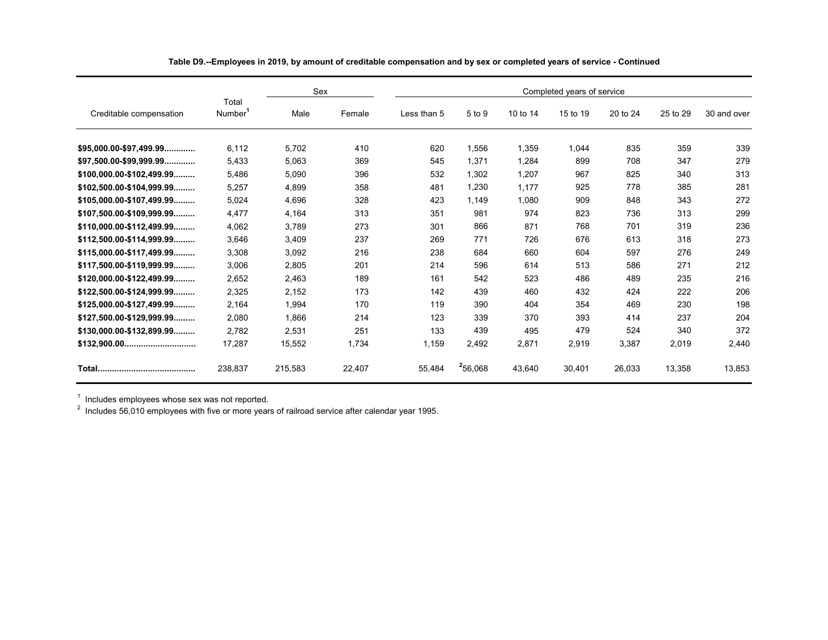|                             |                              | Sex     |        | Completed years of service |         |          |          |          |          |             |  |  |
|-----------------------------|------------------------------|---------|--------|----------------------------|---------|----------|----------|----------|----------|-------------|--|--|
| Creditable compensation     | Total<br>Number <sup>1</sup> | Male    | Female | Less than 5                | 5 to 9  | 10 to 14 | 15 to 19 | 20 to 24 | 25 to 29 | 30 and over |  |  |
| $$95.000.00 - $97.499.99$   | 6.112                        | 5.702   | 410    | 620                        | 1.556   | 1.359    | 1,044    | 835      | 359      | 339         |  |  |
| $$97.500.00 - $99.999.99$   | 5.433                        | 5,063   | 369    | 545                        | 1.371   | 1.284    | 899      | 708      | 347      | 279         |  |  |
| $$100,000.00-$102,499.99$   | 5.486                        | 5,090   | 396    | 532                        | 1,302   | 1,207    | 967      | 825      | 340      | 313         |  |  |
| $$102,500.00-S104,999.99$   | 5.257                        | 4.899   | 358    | 481                        | 1,230   | 1.177    | 925      | 778      | 385      | 281         |  |  |
| $$105,000.00 - $107,499.99$ | 5,024                        | 4,696   | 328    | 423                        | 1,149   | 1,080    | 909      | 848      | 343      | 272         |  |  |
| $$107,500.00 - $109,999.99$ | 4.477                        | 4.164   | 313    | 351                        | 981     | 974      | 823      | 736      | 313      | 299         |  |  |
| $$110.000.00-S112.499.99$   | 4.062                        | 3.789   | 273    | 301                        | 866     | 871      | 768      | 701      | 319      | 236         |  |  |
| $$112,500.00-S114,999.99$   | 3.646                        | 3,409   | 237    | 269                        | 771     | 726      | 676      | 613      | 318      | 273         |  |  |
| $$115,000.00 - $117,499.99$ | 3.308                        | 3,092   | 216    | 238                        | 684     | 660      | 604      | 597      | 276      | 249         |  |  |
| $$117.500.00-S119.999.99$   | 3.006                        | 2.805   | 201    | 214                        | 596     | 614      | 513      | 586      | 271      | 212         |  |  |
| $$120,000.00-S122,499.99$   | 2.652                        | 2.463   | 189    | 161                        | 542     | 523      | 486      | 489      | 235      | 216         |  |  |
| $$122.500.00-S124.999.99$   | 2.325                        | 2.152   | 173    | 142                        | 439     | 460      | 432      | 424      | 222      | 206         |  |  |
| $$125,000.00-S127,499.99$   | 2.164                        | 1,994   | 170    | 119                        | 390     | 404      | 354      | 469      | 230      | 198         |  |  |
| $$127,500.00 - $129,999.99$ | 2.080                        | 1,866   | 214    | 123                        | 339     | 370      | 393      | 414      | 237      | 204         |  |  |
| \$130,000.00-\$132,899.99   | 2.782                        | 2,531   | 251    | 133                        | 439     | 495      | 479      | 524      | 340      | 372         |  |  |
| $$132,900.00$               | 17,287                       | 15,552  | 1,734  | 1,159                      | 2,492   | 2,871    | 2,919    | 3,387    | 2,019    | 2,440       |  |  |
|                             | 238.837                      | 215,583 | 22,407 | 55.484                     | 256,068 | 43.640   | 30.401   | 26.033   | 13,358   | 13,853      |  |  |

**Table D9.--Employees in 2019, by amount of creditable compensation and by sex or completed years of service - Continued**

<sub>.</sub><br><sup>1</sup> Includes employees whose sex was not reported.<br><sup>2</sup> Includes 56,010 employees with five or more years of railroad service after calendar year 1995.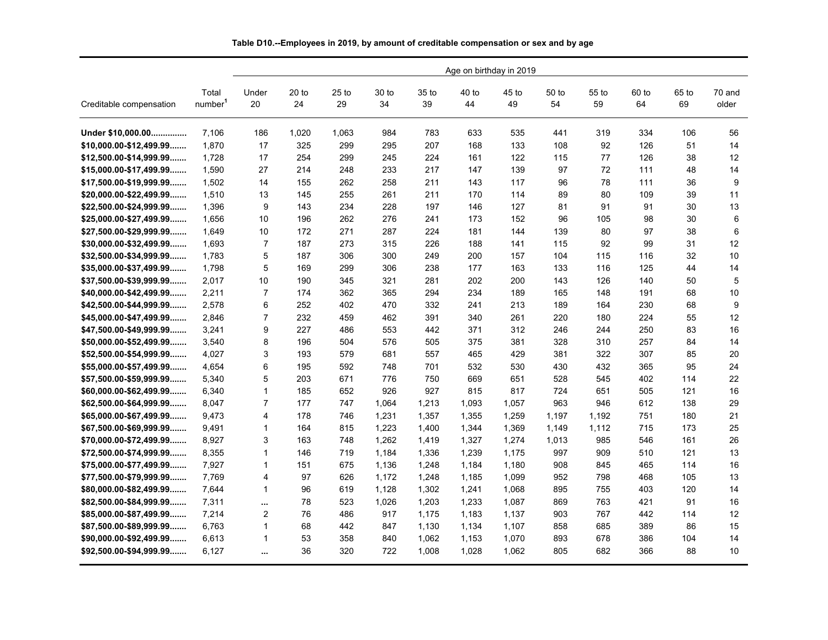|                           |                              |                | Age on birthday in 2019 |               |             |             |             |             |             |             |             |             |                 |
|---------------------------|------------------------------|----------------|-------------------------|---------------|-------------|-------------|-------------|-------------|-------------|-------------|-------------|-------------|-----------------|
| Creditable compensation   | Total<br>number <sup>1</sup> | Under<br>20    | $20$ to<br>24           | $25$ to<br>29 | 30 to<br>34 | 35 to<br>39 | 40 to<br>44 | 45 to<br>49 | 50 to<br>54 | 55 to<br>59 | 60 to<br>64 | 65 to<br>69 | 70 and<br>older |
| Under \$10.000.00         | 7.106                        | 186            | 1,020                   | 1.063         | 984         | 783         | 633         | 535         | 441         | 319         | 334         | 106         | 56              |
| \$10,000.00-\$12,499.99   | 1,870                        | 17             | 325                     | 299           | 295         | 207         | 168         | 133         | 108         | 92          | 126         | 51          | 14              |
| \$12,500.00-\$14,999.99   | 1,728                        | 17             | 254                     | 299           | 245         | 224         | 161         | 122         | 115         | 77          | 126         | 38          | 12              |
| \$15,000.00-\$17,499.99   | 1.590                        | 27             | 214                     | 248           | 233         | 217         | 147         | 139         | 97          | 72          | 111         | 48          | 14              |
| \$17,500.00-\$19,999.99   | 1,502                        | 14             | 155                     | 262           | 258         | 211         | 143         | 117         | 96          | 78          | 111         | 36          | 9               |
| $$20,000.00-$22,499.99$   | 1.510                        | 13             | 145                     | 255           | 261         | 211         | 170         | 114         | 89          | 80          | 109         | 39          | 11              |
| $$22,500.00 - $24,999.99$ | 1,396                        | 9              | 143                     | 234           | 228         | 197         | 146         | 127         | 81          | 91          | 91          | 30          | 13              |
| \$25,000.00-\$27,499.99   | 1,656                        | 10             | 196                     | 262           | 276         | 241         | 173         | 152         | 96          | 105         | 98          | 30          | 6               |
| \$27,500.00-\$29,999.99   | 1,649                        | 10             | 172                     | 271           | 287         | 224         | 181         | 144         | 139         | 80          | 97          | 38          | 6               |
| \$30,000.00-\$32,499.99   | 1,693                        | $\overline{7}$ | 187                     | 273           | 315         | 226         | 188         | 141         | 115         | 92          | 99          | 31          | 12              |
| $$32,500.00 - $34,999.99$ | 1.783                        | 5              | 187                     | 306           | 300         | 249         | 200         | 157         | 104         | 115         | 116         | 32          | 10              |
| $$35,000.00 - $37,499.99$ | 1.798                        | 5              | 169                     | 299           | 306         | 238         | 177         | 163         | 133         | 116         | 125         | 44          | 14              |
| \$37,500.00-\$39,999.99   | 2.017                        | 10             | 190                     | 345           | 321         | 281         | 202         | 200         | 143         | 126         | 140         | 50          | 5               |
| \$40,000.00-\$42,499.99   | 2,211                        | $\overline{7}$ | 174                     | 362           | 365         | 294         | 234         | 189         | 165         | 148         | 191         | 68          | 10              |
| \$42,500.00-\$44,999.99   | 2,578                        | 6              | 252                     | 402           | 470         | 332         | 241         | 213         | 189         | 164         | 230         | 68          | 9               |
| \$45,000.00-\$47,499.99   | 2,846                        | $\overline{7}$ | 232                     | 459           | 462         | 391         | 340         | 261         | 220         | 180         | 224         | 55          | 12              |
| \$47,500.00-\$49,999.99   | 3,241                        | 9              | 227                     | 486           | 553         | 442         | 371         | 312         | 246         | 244         | 250         | 83          | 16              |
| \$50,000.00-\$52,499.99   | 3,540                        | 8              | 196                     | 504           | 576         | 505         | 375         | 381         | 328         | 310         | 257         | 84          | 14              |
| \$52,500.00-\$54,999.99   | 4,027                        | 3              | 193                     | 579           | 681         | 557         | 465         | 429         | 381         | 322         | 307         | 85          | 20              |
| \$55,000.00-\$57,499.99   | 4,654                        | 6              | 195                     | 592           | 748         | 701         | 532         | 530         | 430         | 432         | 365         | 95          | 24              |
| \$57,500.00-\$59,999.99   | 5.340                        | 5              | 203                     | 671           | 776         | 750         | 669         | 651         | 528         | 545         | 402         | 114         | 22              |
| \$60,000.00-\$62,499.99   | 6,340                        | $\mathbf{1}$   | 185                     | 652           | 926         | 927         | 815         | 817         | 724         | 651         | 505         | 121         | 16              |
| \$62,500.00-\$64,999.99   | 8.047                        | $\overline{7}$ | 177                     | 747           | 1,064       | 1,213       | 1,093       | 1,057       | 963         | 946         | 612         | 138         | 29              |
| \$65,000.00-\$67,499.99   | 9.473                        | 4              | 178                     | 746           | 1,231       | 1,357       | 1,355       | 1,259       | 1,197       | 1,192       | 751         | 180         | 21              |
| \$67,500.00-\$69,999.99   | 9,491                        | $\mathbf{1}$   | 164                     | 815           | 1,223       | 1,400       | 1,344       | 1,369       | 1,149       | 1,112       | 715         | 173         | 25              |
| \$70,000.00-\$72,499.99   | 8,927                        | 3              | 163                     | 748           | 1,262       | 1,419       | 1,327       | 1,274       | 1,013       | 985         | 546         | 161         | 26              |
| \$72,500.00-\$74,999.99   | 8,355                        | $\mathbf{1}$   | 146                     | 719           | 1,184       | 1,336       | 1,239       | 1,175       | 997         | 909         | 510         | 121         | 13              |
| \$75,000.00-\$77,499.99   | 7,927                        | $\mathbf{1}$   | 151                     | 675           | 1,136       | 1,248       | 1,184       | 1,180       | 908         | 845         | 465         | 114         | 16              |
| \$77,500.00-\$79,999.99   | 7,769                        | $\overline{4}$ | 97                      | 626           | 1,172       | 1,248       | 1,185       | 1,099       | 952         | 798         | 468         | 105         | 13              |
| \$80,000.00-\$82,499.99   | 7,644                        | $\mathbf{1}$   | 96                      | 619           | 1,128       | 1,302       | 1.241       | 1,068       | 895         | 755         | 403         | 120         | 14              |
| \$82,500.00-\$84,999.99   | 7,311                        | $\cdots$       | 78                      | 523           | 1,026       | 1,203       | 1,233       | 1,087       | 869         | 763         | 421         | 91          | 16              |
| \$85,000.00-\$87,499.99   | 7,214                        | $\overline{2}$ | 76                      | 486           | 917         | 1,175       | 1,183       | 1,137       | 903         | 767         | 442         | 114         | 12              |
| \$87,500.00-\$89,999.99   | 6,763                        | $\mathbf{1}$   | 68                      | 442           | 847         | 1,130       | 1,134       | 1,107       | 858         | 685         | 389         | 86          | 15              |
| \$90,000.00-\$92,499.99   | 6.613                        | $\mathbf{1}$   | 53                      | 358           | 840         | 1,062       | 1,153       | 1,070       | 893         | 678         | 386         | 104         | 14              |
| \$92,500.00-\$94,999.99   | 6,127                        | $\cdots$       | 36                      | 320           | 722         | 1,008       | 1,028       | 1,062       | 805         | 682         | 366         | 88          | 10              |

**Table D10.--Employees in 2019, by amount of creditable compensation or sex and by age**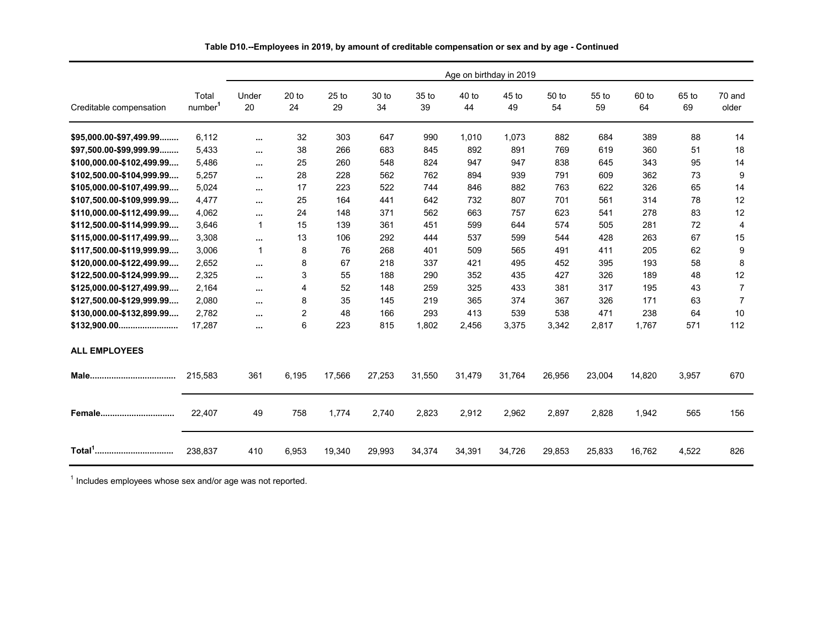|                           | Age on birthday in 2019      |             |                        |               |             |             |               |             |             |             |             |             |                 |
|---------------------------|------------------------------|-------------|------------------------|---------------|-------------|-------------|---------------|-------------|-------------|-------------|-------------|-------------|-----------------|
| Creditable compensation   | Total<br>number <sup>1</sup> | Under<br>20 | 20 <sub>to</sub><br>24 | $25$ to<br>29 | 30 to<br>34 | 35 to<br>39 | $40$ to<br>44 | 45 to<br>49 | 50 to<br>54 | 55 to<br>59 | 60 to<br>64 | 65 to<br>69 | 70 and<br>older |
| \$95,000.00-\$97,499.99   | 6,112                        | $\cdots$    | 32                     | 303           | 647         | 990         | 1,010         | 1,073       | 882         | 684         | 389         | 88          | 14              |
| \$97,500.00-\$99,999.99   | 5,433                        | $\cdots$    | 38                     | 266           | 683         | 845         | 892           | 891         | 769         | 619         | 360         | 51          | 18              |
| \$100,000.00-\$102,499.99 | 5,486                        | $\cdots$    | 25                     | 260           | 548         | 824         | 947           | 947         | 838         | 645         | 343         | 95          | 14              |
| \$102,500.00-\$104,999.99 | 5,257                        | $\cdots$    | 28                     | 228           | 562         | 762         | 894           | 939         | 791         | 609         | 362         | 73          | 9               |
| \$105,000.00-\$107,499.99 | 5,024                        | $\cdots$    | 17                     | 223           | 522         | 744         | 846           | 882         | 763         | 622         | 326         | 65          | 14              |
| \$107,500.00-\$109,999.99 | 4,477                        | $\cdots$    | 25                     | 164           | 441         | 642         | 732           | 807         | 701         | 561         | 314         | 78          | 12              |
| \$110,000.00-\$112,499.99 | 4,062                        | $\cdots$    | 24                     | 148           | 371         | 562         | 663           | 757         | 623         | 541         | 278         | 83          | 12              |
| \$112,500.00-\$114,999.99 | 3,646                        | 1           | 15                     | 139           | 361         | 451         | 599           | 644         | 574         | 505         | 281         | 72          | 4               |
| \$115,000.00-\$117,499.99 | 3.308                        | $\cdots$    | 13                     | 106           | 292         | 444         | 537           | 599         | 544         | 428         | 263         | 67          | 15              |
| \$117,500.00-\$119,999.99 | 3,006                        | 1           | 8                      | 76            | 268         | 401         | 509           | 565         | 491         | 411         | 205         | 62          | 9               |
| \$120,000.00-\$122,499.99 | 2,652                        | $\cdots$    | 8                      | 67            | 218         | 337         | 421           | 495         | 452         | 395         | 193         | 58          | 8               |
| \$122,500.00-\$124,999.99 | 2,325                        | $\cdots$    | 3                      | 55            | 188         | 290         | 352           | 435         | 427         | 326         | 189         | 48          | 12              |
| \$125,000.00-\$127,499.99 | 2,164                        | $\cdots$    | 4                      | 52            | 148         | 259         | 325           | 433         | 381         | 317         | 195         | 43          | $\overline{7}$  |
| \$127,500.00-\$129,999.99 | 2,080                        | $\cdots$    | 8                      | 35            | 145         | 219         | 365           | 374         | 367         | 326         | 171         | 63          | $\overline{7}$  |
| \$130,000.00-\$132,899.99 | 2,782                        | $\cdots$    | $\overline{2}$         | 48            | 166         | 293         | 413           | 539         | 538         | 471         | 238         | 64          | 10              |
|                           | 17,287                       | $\cdots$    | 6                      | 223           | 815         | 1,802       | 2,456         | 3,375       | 3,342       | 2,817       | 1.767       | 571         | 112             |
| <b>ALL EMPLOYEES</b>      |                              |             |                        |               |             |             |               |             |             |             |             |             |                 |
|                           | 215,583                      | 361         | 6,195                  | 17,566        | 27,253      | 31,550      | 31,479        | 31,764      | 26,956      | 23,004      | 14,820      | 3,957       | 670             |
| Female                    | 22,407                       | 49          | 758                    | 1,774         | 2.740       | 2,823       | 2,912         | 2,962       | 2,897       | 2,828       | 1,942       | 565         | 156             |
|                           | 238.837                      | 410         | 6,953                  | 19,340        | 29,993      | 34,374      | 34,391        | 34,726      | 29,853      | 25,833      | 16,762      | 4,522       | 826             |

**Table D10.--Employees in 2019, by amount of creditable compensation or sex and by age - Continued**

 $1$  Includes employees whose sex and/or age was not reported.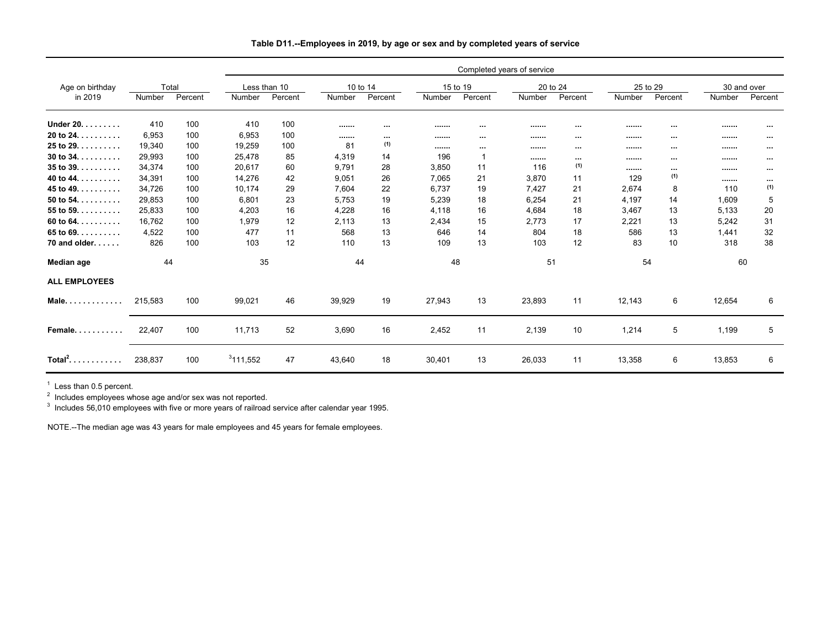|                      |         |                      |         |              |          |          |        |              | Completed years of service |          |        |          |             |          |
|----------------------|---------|----------------------|---------|--------------|----------|----------|--------|--------------|----------------------------|----------|--------|----------|-------------|----------|
| Age on birthday      |         | Total                |         | Less than 10 | 10 to 14 |          |        | 15 to 19     | 20 to 24                   |          |        | 25 to 29 | 30 and over |          |
| in 2019              | Number  | Percent              | Number  | Percent      | Number   | Percent  | Number | Percent      | Number                     | Percent  | Number | Percent  | Number      | Percent  |
| Under 20.            | 410     | 100                  | 410     | 100          |          | $\cdots$ |        | $\cdots$     |                            | $\cdots$ |        | $\cdots$ |             | $\cdots$ |
| 20 to $24.$          | 6,953   | 100                  | 6,953   | 100          |          | $\cdots$ |        | $\cdots$     |                            | $\cdots$ |        | $\cdots$ |             | $\cdots$ |
| $25$ to $29.$        | 19,340  | 100                  | 19,259  | 100          | 81       | (1)      |        | $\cdots$     |                            | $\cdots$ |        | $\cdots$ |             | $\cdots$ |
| 30 to $34.$          | 29,993  | 100                  | 25,478  | 85           | 4,319    | 14       | 196    | $\mathbf{1}$ |                            | $\cdots$ |        | $\cdots$ |             | $\cdots$ |
| $35$ to $39.$        | 34,374  | 100                  | 20.617  | 60           | 9.791    | 28       | 3.850  | 11           | 116                        | (1)      |        | $\cdots$ |             | $\cdots$ |
| 40 to 44.            | 34,391  | 100                  | 14,276  | 42           | 9,051    | 26       | 7,065  | 21           | 3,870                      | 11       | 129    | (1)      |             | $\cdots$ |
| 45 to 49. $\dots$ .  | 34,726  | 100                  | 10,174  | 29           | 7,604    | 22       | 6,737  | 19           | 7,427                      | 21       | 2,674  | 8        | 110         | (1)      |
| 50 to 54. $\dots$ .  | 29,853  | 100                  | 6,801   | 23           | 5,753    | 19       | 5,239  | 18           | 6,254                      | 21       | 4,197  | 14       | 1,609       | 5        |
| 55 to 59. $\dots$    | 25,833  | 100                  | 4,203   | 16           | 4,228    | 16       | 4.118  | 16           | 4,684                      | 18       | 3,467  | 13       | 5,133       | 20       |
| 60 to 64. $\dots$ .  | 16.762  | 100                  | 1.979   | 12           | 2.113    | 13       | 2,434  | 15           | 2.773                      | 17       | 2,221  | 13       | 5,242       | 31       |
| 65 to $69.$          | 4.522   | 100                  | 477     | 11           | 568      | 13       | 646    | 14           | 804                        | 18       | 586    | 13       | 1,441       | 32       |
| 70 and older.        | 826     | 100                  | 103     | 12           | 110      | 13       | 109    | 13           | 103                        | 12       | 83     | 10       | 318         | 38       |
| Median age           |         | 44<br>35<br>48<br>44 |         |              | 51       |          |        | 54           |                            | 60       |        |          |             |          |
| <b>ALL EMPLOYEES</b> |         |                      |         |              |          |          |        |              |                            |          |        |          |             |          |
| Male.                | 215,583 | 100                  | 99,021  | 46           | 39,929   | 19       | 27,943 | 13           | 23,893                     | 11       | 12,143 | 6        | 12,654      | 6        |
| Female.<br>.         | 22,407  | 100                  | 11,713  | 52           | 3,690    | 16       | 2,452  | 11           | 2,139                      | 10       | 1,214  | 5        | 1,199       | 5        |
| Total $^2$<br>.      | 238,837 | 100                  | 311,552 | 47           | 43,640   | 18       | 30,401 | 13           | 26,033                     | 11       | 13,358 | 6        | 13,853      | 6        |

### **Table D11.--Employees in 2019, by age or sex and by completed years of service**

<sup>1</sup> Less than 0.5 percent.<br><sup>2</sup> Includes employees whose age and/or sex was not reported.<br><sup>3</sup> Includes 56,010 employees with five or more years of railroad service after calendar year 1995.

NOTE.--The median age was 43 years for male employees and 45 years for female employees.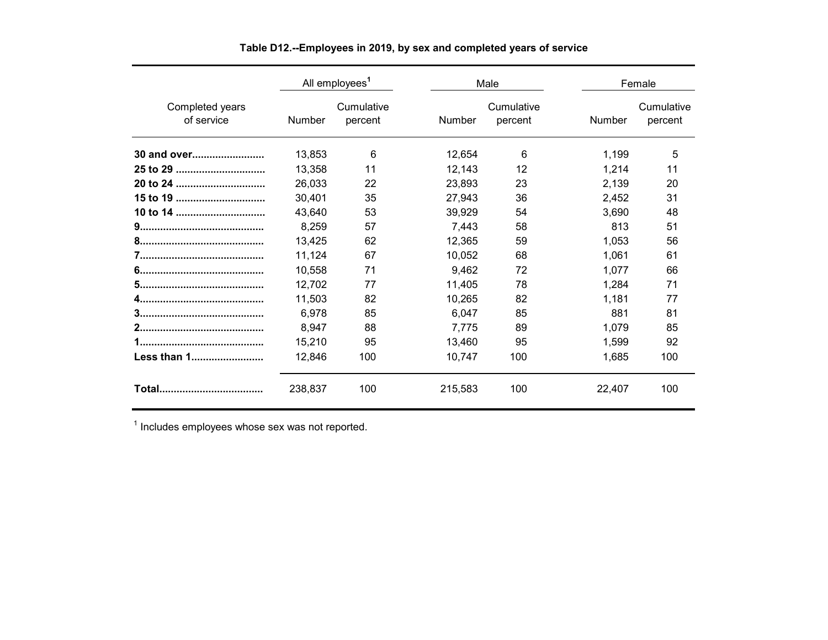|                               |               | All employees <sup>1</sup> |               | Male                  |               | Female                |
|-------------------------------|---------------|----------------------------|---------------|-----------------------|---------------|-----------------------|
| Completed years<br>of service | <b>Number</b> | Cumulative<br>percent      | <b>Number</b> | Cumulative<br>percent | <b>Number</b> | Cumulative<br>percent |
| 30 and over                   | 13,853        | 6                          | 12,654        | 6                     | 1,199         | 5                     |
| 25 to 29                      | 13,358        | 11                         | 12,143        | 12                    | 1,214         | 11                    |
| 20 to 24                      | 26,033        | 22                         | 23,893        | 23                    | 2,139         | 20                    |
| 15 to 19                      | 30,401        | 35                         | 27,943        | 36                    | 2,452         | 31                    |
| 10 to 14                      | 43,640        | 53                         | 39.929        | 54                    | 3,690         | 48                    |
|                               | 8,259         | 57                         | 7.443         | 58                    | 813           | 51                    |
|                               | 13,425        | 62                         | 12,365        | 59                    | 1,053         | 56                    |
|                               | 11,124        | 67                         | 10.052        | 68                    | 1.061         | 61                    |
|                               | 10,558        | 71                         | 9,462         | 72                    | 1,077         | 66                    |
|                               | 12.702        | 77                         | 11.405        | 78                    | 1,284         | 71                    |
|                               | 11,503        | 82                         | 10,265        | 82                    | 1,181         | 77                    |
|                               | 6,978         | 85                         | 6,047         | 85                    | 881           | 81                    |
|                               | 8,947         | 88                         | 7,775         | 89                    | 1,079         | 85                    |
|                               | 15,210        | 95                         | 13,460        | 95                    | 1,599         | 92                    |
| Less than 1                   | 12,846        | 100                        | 10.747        | 100                   | 1,685         | 100                   |
|                               | 238,837       | 100                        | 215.583       | 100                   | 22,407        | 100                   |

**Table D12.--Employees in 2019, by sex and completed years of service**

 $1$  Includes employees whose sex was not reported.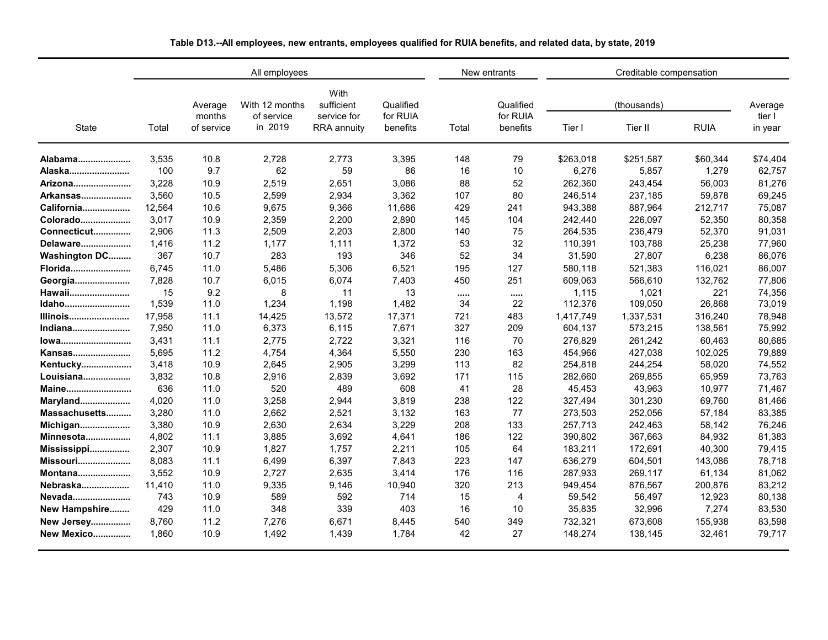|                      |        |                                 | All employees                           |                                                         |                                   |          | New entrants                      |           | Creditable compensation |             |                              |  |
|----------------------|--------|---------------------------------|-----------------------------------------|---------------------------------------------------------|-----------------------------------|----------|-----------------------------------|-----------|-------------------------|-------------|------------------------------|--|
| State                | Total  | Average<br>months<br>of service | With 12 months<br>of service<br>in 2019 | With<br>sufficient<br>service for<br><b>RRA</b> annuity | Qualified<br>for RUIA<br>benefits | Total    | Qualified<br>for RUIA<br>benefits | Tier I    | (thousands)<br>Tier II  | <b>RUIA</b> | Average<br>tier I<br>in year |  |
| Alabama              | 3,535  | 10.8                            | 2.728                                   | 2,773                                                   | 3,395                             | 148      | 79                                | \$263,018 | \$251,587               | \$60,344    | \$74,404                     |  |
| Alaska               | 100    | 9.7                             | 62                                      | 59                                                      | 86                                | 16       | 10                                | 6,276     | 5,857                   | 1,279       | 62,757                       |  |
| Arizona              | 3,228  | 10.9                            | 2,519                                   | 2,651                                                   | 3,086                             | 88       | 52                                | 262,360   | 243,454                 | 56,003      | 81,276                       |  |
| Arkansas             | 3,560  | 10.5                            | 2,599                                   | 2,934                                                   | 3,362                             | 107      | 80                                | 246,514   | 237,185                 | 59,878      | 69,245                       |  |
| California           | 12,564 | 10.6                            | 9,675                                   | 9,366                                                   | 11,686                            | 429      | 241                               | 943,388   | 887,964                 | 212,717     | 75,087                       |  |
| Colorado             | 3.017  | 10.9                            | 2,359                                   | 2,200                                                   | 2,890                             | 145      | 104                               | 242,440   | 226,097                 | 52,350      | 80,358                       |  |
| Connecticut          | 2,906  | 11.3                            | 2,509                                   | 2,203                                                   | 2,800                             | 140      | 75                                | 264,535   | 236,479                 | 52,370      | 91,031                       |  |
| Delaware             | 1,416  | 11.2                            | 1,177                                   | 1,111                                                   | 1,372                             | 53       | 32                                | 110,391   | 103,788                 | 25,238      | 77,960                       |  |
| <b>Washington DC</b> | 367    | 10.7                            | 283                                     | 193                                                     | 346                               | 52       | 34                                | 31,590    | 27,807                  | 6,238       | 86,076                       |  |
| Florida              | 6,745  | 11.0                            | 5,486                                   | 5,306                                                   | 6,521                             | 195      | 127                               | 580,118   | 521,383                 | 116,021     | 86,007                       |  |
| Georgia              | 7,828  | 10.7                            | 6,015                                   | 6,074                                                   | 7,403                             | 450      | 251                               | 609,063   | 566,610                 | 132,762     | 77,806                       |  |
| Hawaii               | 15     | 9.2                             | 8                                       | 11                                                      | 13                                | $\cdots$ | $\cdots$                          | 1,115     | 1,021                   | 221         | 74,356                       |  |
| Idaho                | 1,539  | 11.0                            | 1,234                                   | 1,198                                                   | 1,482                             | 34       | 22                                | 112,376   | 109,050                 | 26,868      | 73,019                       |  |
| Illinois             | 17,958 | 11.1                            | 14,425                                  | 13,572                                                  | 17,371                            | 721      | 483                               | 1,417,749 | 1,337,531               | 316,240     | 78,948                       |  |
| Indiana              | 7,950  | 11.0                            | 6,373                                   | 6,115                                                   | 7,671                             | 327      | 209                               | 604,137   | 573,215                 | 138,561     | 75,992                       |  |
| lowa                 | 3,431  | 11.1                            | 2,775                                   | 2,722                                                   | 3,321                             | 116      | 70                                | 276,829   | 261,242                 | 60,463      | 80,685                       |  |
| Kansas               | 5,695  | 11.2                            | 4,754                                   | 4,364                                                   | 5,550                             | 230      | 163                               | 454,966   | 427,038                 | 102,025     | 79,889                       |  |
| Kentucky             | 3,418  | 10.9                            | 2,645                                   | 2,905                                                   | 3,299                             | 113      | 82                                | 254,818   | 244,254                 | 58,020      | 74,552                       |  |
| Louisiana            | 3,832  | 10.8                            | 2,916                                   | 2,839                                                   | 3,692                             | 171      | 115                               | 282,660   | 269,855                 | 65,959      | 73,763                       |  |
| Maine                | 636    | 11.0                            | 520                                     | 489                                                     | 608                               | 41       | 28                                | 45,453    | 43,963                  | 10,977      | 71,467                       |  |
| <b>Maryland</b>      | 4,020  | 11.0                            | 3,258                                   | 2,944                                                   | 3,819                             | 238      | 122                               | 327,494   | 301,230                 | 69,760      | 81,466                       |  |
| Massachusetts        | 3,280  | 11.0                            | 2,662                                   | 2,521                                                   | 3,132                             | 163      | 77                                | 273,503   | 252,056                 | 57,184      | 83,385                       |  |
| Michigan             | 3,380  | 10.9                            | 2,630                                   | 2,634                                                   | 3,229                             | 208      | 133                               | 257,713   | 242,463                 | 58,142      | 76,246                       |  |
| <b>Minnesota</b>     | 4,802  | 11.1                            | 3,885                                   | 3,692                                                   | 4,641                             | 186      | 122                               | 390,802   | 367,663                 | 84,932      | 81,383                       |  |
| Mississippi          | 2,307  | 10.9                            | 1,827                                   | 1,757                                                   | 2,211                             | 105      | 64                                | 183,211   | 172,691                 | 40,300      | 79,415                       |  |
| <b>Missouri</b>      | 8,083  | 11.1                            | 6,499                                   | 6,397                                                   | 7,843                             | 223      | 147                               | 636,279   | 604,501                 | 143,086     | 78,718                       |  |
| Montana              | 3,552  | 10.9                            | 2,727                                   | 2,635                                                   | 3,414                             | 176      | 116                               | 287,933   | 269,117                 | 61,134      | 81,062                       |  |
| Nebraska             | 11,410 | 11.0                            | 9,335                                   | 9,146                                                   | 10,940                            | 320      | 213                               | 949,454   | 876,567                 | 200,876     | 83,212                       |  |
| Nevada               | 743    | 10.9                            | 589                                     | 592                                                     | 714                               | 15       | $\overline{4}$                    | 59,542    | 56,497                  | 12,923      | 80,138                       |  |
| New Hampshire        | 429    | 11.0                            | 348                                     | 339                                                     | 403                               | 16       | 10                                | 35,835    | 32,996                  | 7,274       | 83,530                       |  |
| <b>New Jersey</b>    | 8,760  | 11.2                            | 7,276                                   | 6,671                                                   | 8,445                             | 540      | 349                               | 732,321   | 673,608                 | 155,938     | 83,598                       |  |
| <b>New Mexico</b>    | 1.860  | 10.9                            | 1.492                                   | 1,439                                                   | 1.784                             | 42       | 27                                | 148,274   | 138,145                 | 32.461      | 79,717                       |  |

**Table D13.--All employees, new entrants, employees qualified for RUIA benefits, and related data, by state, 2019**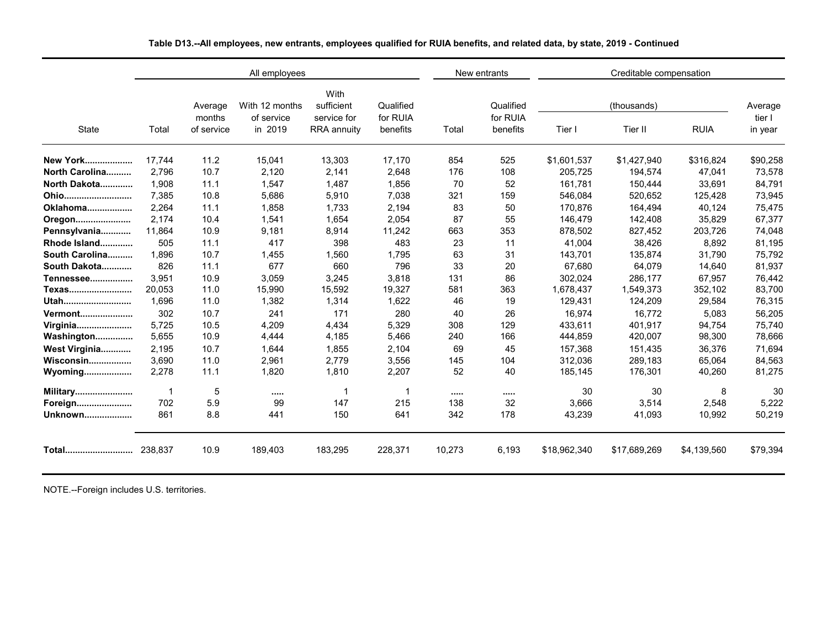|                 |         |                   | All employees                |                                   |                       |        | New entrants          | Creditable compensation |              |             |                              |  |
|-----------------|---------|-------------------|------------------------------|-----------------------------------|-----------------------|--------|-----------------------|-------------------------|--------------|-------------|------------------------------|--|
|                 |         | Average<br>months | With 12 months<br>of service | With<br>sufficient<br>service for | Qualified<br>for RUIA |        | Qualified<br>for RUIA |                         | (thousands)  |             | Average<br>tier I<br>in year |  |
| <b>State</b>    | Total   | of service        | in 2019                      | RRA annuity                       | benefits              | Total  | benefits              | Tier I                  | Tier II      | <b>RUIA</b> |                              |  |
| <b>New York</b> | 17.744  | 11.2              | 15,041                       | 13,303                            | 17,170                | 854    | 525                   | \$1,601,537             | \$1,427,940  | \$316,824   | \$90,258                     |  |
| North Carolina  | 2.796   | 10.7              | 2.120                        | 2.141                             | 2.648                 | 176    | 108                   | 205.725                 | 194,574      | 47.041      | 73,578                       |  |
| North Dakota    | 1.908   | 11.1              | 1,547                        | 1,487                             | 1,856                 | 70     | 52                    | 161,781                 | 150,444      | 33,691      | 84,791                       |  |
| Ohio            | 7,385   | 10.8              | 5,686                        | 5,910                             | 7,038                 | 321    | 159                   | 546,084                 | 520,652      | 125,428     | 73,945                       |  |
| Oklahoma        | 2.264   | 11.1              | 1,858                        | 1,733                             | 2,194                 | 83     | 50                    | 170.876                 | 164,494      | 40.124      | 75,475                       |  |
| Oregon          | 2,174   | 10.4              | 1,541                        | 1,654                             | 2,054                 | 87     | 55                    | 146,479                 | 142,408      | 35,829      | 67,377                       |  |
| Pennsylvania    | 11,864  | 10.9              | 9,181                        | 8,914                             | 11,242                | 663    | 353                   | 878,502                 | 827,452      | 203,726     | 74,048                       |  |
| Rhode Island    | 505     | 11.1              | 417                          | 398                               | 483                   | 23     | 11                    | 41,004                  | 38,426       | 8,892       | 81,195                       |  |
| South Carolina  | 1.896   | 10.7              | 1,455                        | 1,560                             | 1,795                 | 63     | 31                    | 143,701                 | 135,874      | 31,790      | 75,792                       |  |
| South Dakota    | 826     | 11.1              | 677                          | 660                               | 796                   | 33     | 20                    | 67,680                  | 64,079       | 14,640      | 81,937                       |  |
| Tennessee       | 3.951   | 10.9              | 3,059                        | 3,245                             | 3,818                 | 131    | 86                    | 302,024                 | 286,177      | 67,957      | 76,442                       |  |
| Texas           | 20.053  | 11.0              | 15,990                       | 15,592                            | 19,327                | 581    | 363                   | 1,678,437               | 1,549,373    | 352,102     | 83,700                       |  |
| Utah            | 1,696   | 11.0              | 1,382                        | 1,314                             | 1,622                 | 46     | 19                    | 129,431                 | 124,209      | 29,584      | 76,315                       |  |
| <b>Vermont</b>  | 302     | 10.7              | 241                          | 171                               | 280                   | 40     | 26                    | 16,974                  | 16.772       | 5,083       | 56,205                       |  |
| Virginia        | 5,725   | 10.5              | 4,209                        | 4,434                             | 5,329                 | 308    | 129                   | 433,611                 | 401,917      | 94,754      | 75,740                       |  |
| Washington      | 5,655   | 10.9              | 4,444                        | 4,185                             | 5,466                 | 240    | 166                   | 444,859                 | 420,007      | 98,300      | 78,666                       |  |
| West Virginia   | 2,195   | 10.7              | 1,644                        | 1,855                             | 2,104                 | 69     | 45                    | 157,368                 | 151,435      | 36,376      | 71,694                       |  |
| Wisconsin       | 3,690   | 11.0              | 2,961                        | 2,779                             | 3,556                 | 145    | 104                   | 312,036                 | 289,183      | 65,064      | 84,563                       |  |
| Wyoming         | 2,278   | 11.1              | 1,820                        | 1,810                             | 2,207                 | 52     | 40                    | 185,145                 | 176,301      | 40,260      | 81,275                       |  |
| <b>Military</b> |         | 5                 |                              | 1                                 | -1                    |        |                       | 30                      | 30           | 8           | 30                           |  |
| Foreign         | 702     | 5.9               | 99                           | 147                               | 215                   | 138    | 32                    | 3,666                   | 3,514        | 2,548       | 5,222                        |  |
| Unknown         | 861     | 8.8               | 441                          | 150                               | 641                   | 342    | 178                   | 43,239                  | 41,093       | 10,992      | 50,219                       |  |
| Total           | 238.837 | 10.9              | 189,403                      | 183,295                           | 228,371               | 10,273 | 6,193                 | \$18,962,340            | \$17,689,269 | \$4,139,560 | \$79,394                     |  |

**Table D13.--All employees, new entrants, employees qualified for RUIA benefits, and related data, by state, 2019 - Continued**

NOTE.--Foreign includes U.S. territories.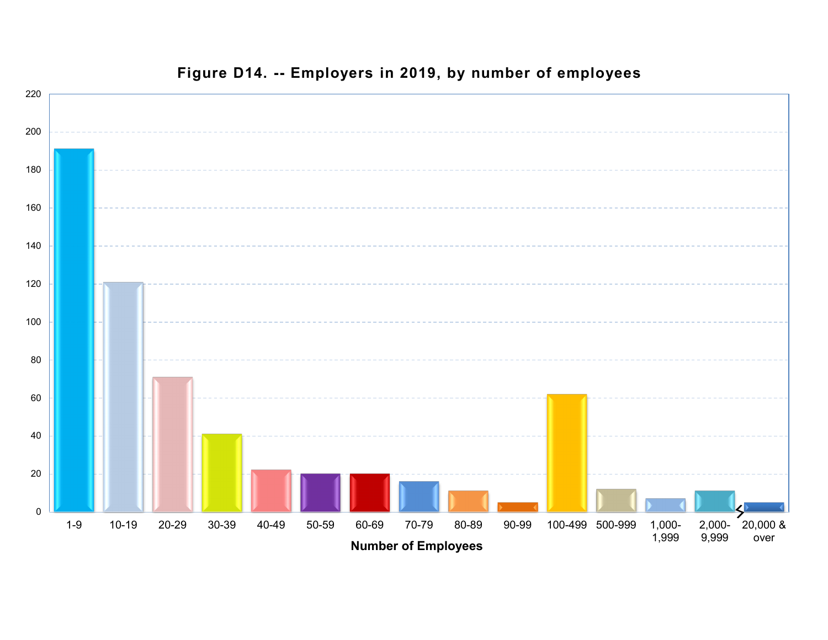

# **Figure D14. -- Employers in 2019, by number of employees**